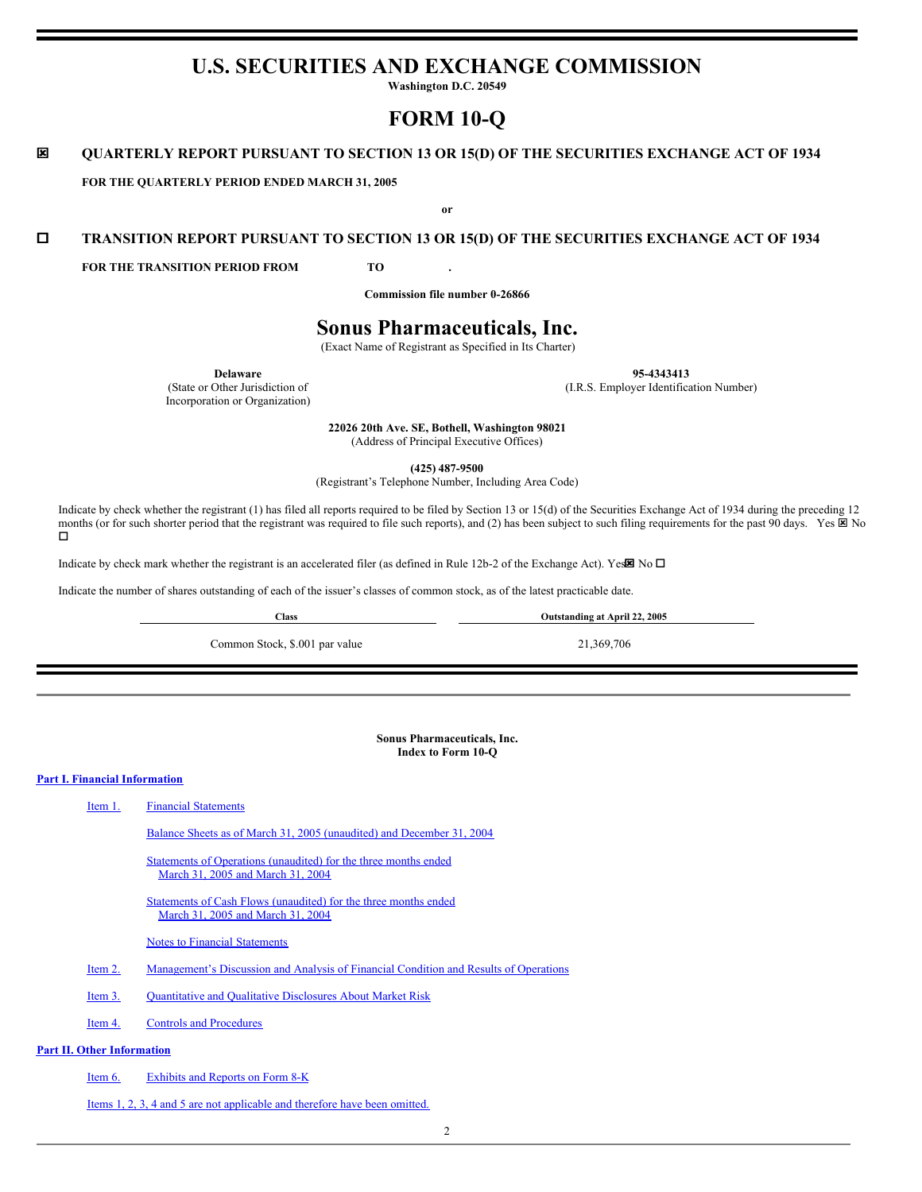# **U.S. SECURITIES AND EXCHANGE COMMISSION**

**Washington D.C. 20549**

**FORM 10-Q**

# ý **QUARTERLY REPORT PURSUANT TO SECTION 13 OR 15(D) OF THE SECURITIES EXCHANGE ACT OF 1934**

**FOR THE QUARTERLY PERIOD ENDED MARCH 31, 2005**

**or**

# o **TRANSITION REPORT PURSUANT TO SECTION 13 OR 15(D) OF THE SECURITIES EXCHANGE ACT OF 1934**

**FOR THE TRANSITION PERIOD FROM TO .**

**Commission file number 0-26866**

# **Sonus Pharmaceuticals, Inc.**

(Exact Name of Registrant as Specified in Its Charter)

**Delaware** 95-4343413<br>
(State or Other Jurisdiction of *I.R.S. Employer Identifica* 

Incorporation or Organization)

(I.R.S. Employer Identification Number)

**22026 20th Ave. SE, Bothell, Washington 98021** (Address of Principal Executive Offices)

**(425) 487-9500**

(Registrant's Telephone Number, Including Area Code)

Indicate by check whether the registrant (1) has filed all reports required to be filed by Section 13 or 15(d) of the Securities Exchange Act of 1934 during the preceding 12 months (or for such shorter period that the registrant was required to file such reports), and (2) has been subject to such filing requirements for the past 90 days. Yes  $\boxtimes$  No  $\Box$ 

Indicate by check mark whether the registrant is an accelerated filer (as defined in Rule 12b-2 of the Exchange Act). Yes $\boxtimes$  No  $\Box$ 

Indicate the number of shares outstanding of each of the issuer's classes of common stock, as of the latest practicable date.

**Class Outstanding at April 22, 2005**

Common Stock, \$.001 par value 21,369,706

**Sonus Pharmaceuticals, Inc. Index to Form 10-Q**

# **Part I. Financial [Information](#page-1-0)**

| Item 1.                           | <b>Financial Statements</b>                                                                          |
|-----------------------------------|------------------------------------------------------------------------------------------------------|
|                                   | Balance Sheets as of March 31, 2005 (unaudited) and December 31, 2004                                |
|                                   | Statements of Operations (unaudited) for the three months ended<br>March 31, 2005 and March 31, 2004 |
|                                   | Statements of Cash Flows (unaudited) for the three months ended<br>March 31, 2005 and March 31, 2004 |
|                                   | <b>Notes to Financial Statements</b>                                                                 |
| Item 2.                           | Management's Discussion and Analysis of Financial Condition and Results of Operations                |
| Item 3.                           | <b>Quantitative and Qualitative Disclosures About Market Risk</b>                                    |
| Item 4.                           | <b>Controls and Procedures</b>                                                                       |
| <b>Part II. Other Information</b> |                                                                                                      |
| Item 6.                           | <b>Exhibits and Reports on Form 8-K</b>                                                              |
|                                   | Items 1, 2, 3, 4 and 5 are not applicable and therefore have been omitted.                           |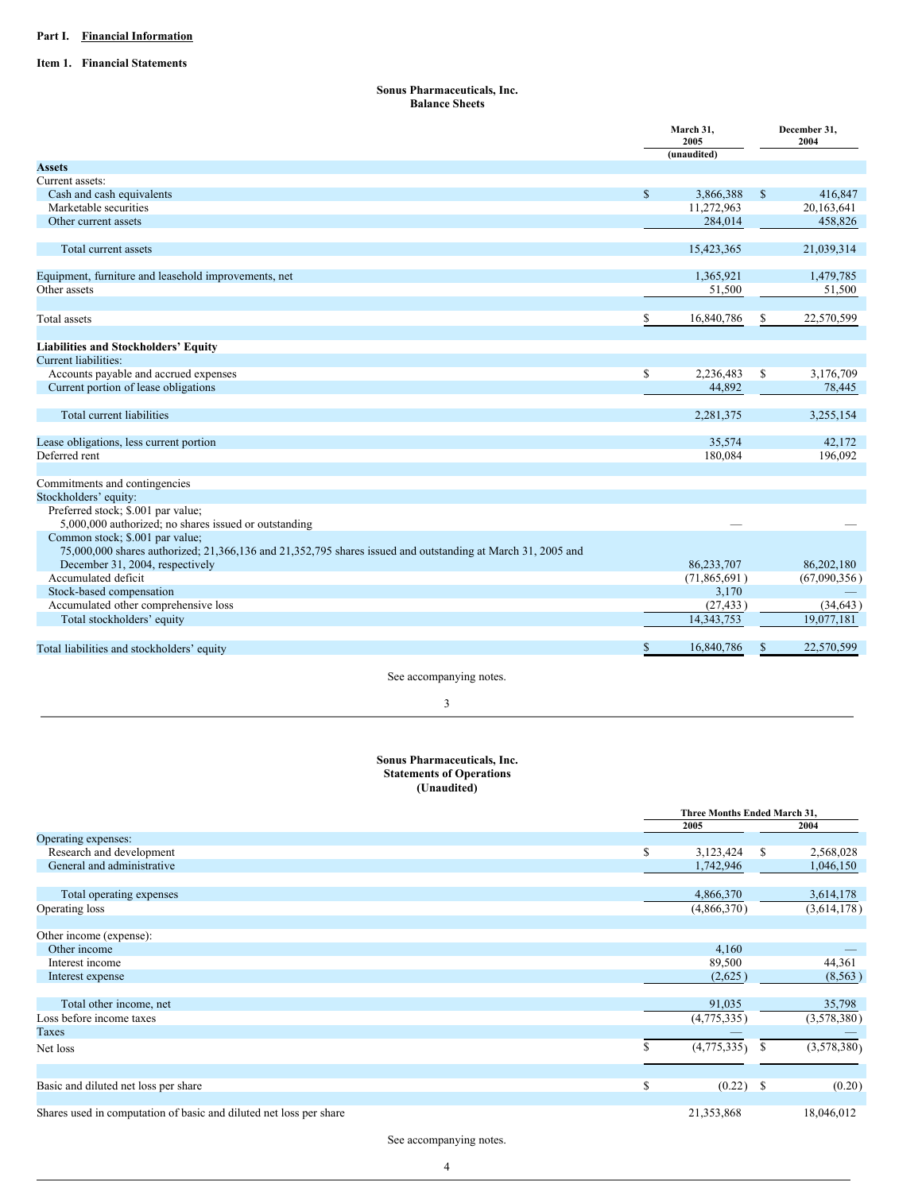# <span id="page-1-0"></span>**Part I. Financial Information**

# <span id="page-1-1"></span>**Item 1. Financial Statements**

## <span id="page-1-2"></span>**Sonus Pharmaceuticals, Inc. Balance Sheets**

|                                                                                                             | March 31,<br>2005 |              |              | December 31,<br>2004 |
|-------------------------------------------------------------------------------------------------------------|-------------------|--------------|--------------|----------------------|
|                                                                                                             |                   | (unaudited)  |              |                      |
| <b>Assets</b>                                                                                               |                   |              |              |                      |
| Current assets:                                                                                             |                   |              |              |                      |
| Cash and cash equivalents                                                                                   | $\mathbf{s}$      | 3,866,388    | $\mathbb{S}$ | 416,847              |
| Marketable securities                                                                                       |                   | 11,272,963   |              | 20,163,641           |
| Other current assets                                                                                        |                   | 284,014      |              | 458,826              |
| Total current assets                                                                                        |                   | 15,423,365   |              | 21,039,314           |
|                                                                                                             |                   | 1,365,921    |              |                      |
| Equipment, furniture and leasehold improvements, net                                                        |                   |              |              | 1,479,785            |
| Other assets                                                                                                |                   | 51,500       |              | 51,500               |
| Total assets                                                                                                | \$                | 16,840,786   | \$           | 22,570,599           |
| <b>Liabilities and Stockholders' Equity</b>                                                                 |                   |              |              |                      |
| Current liabilities:                                                                                        |                   |              |              |                      |
| Accounts payable and accrued expenses                                                                       | $\mathbb{S}$      | 2,236,483    | \$           | 3,176,709            |
| Current portion of lease obligations                                                                        |                   | 44,892       |              | 78,445               |
|                                                                                                             |                   |              |              |                      |
| <b>Total current liabilities</b>                                                                            |                   | 2,281,375    |              | 3,255,154            |
| Lease obligations, less current portion                                                                     |                   | 35.574       |              | 42,172               |
| Deferred rent                                                                                               |                   | 180,084      |              | 196,092              |
| Commitments and contingencies                                                                               |                   |              |              |                      |
| Stockholders' equity:                                                                                       |                   |              |              |                      |
| Preferred stock; \$.001 par value;                                                                          |                   |              |              |                      |
| 5,000,000 authorized; no shares issued or outstanding                                                       |                   |              |              |                      |
| Common stock; \$.001 par value;                                                                             |                   |              |              |                      |
| 75,000,000 shares authorized; 21,366,136 and 21,352,795 shares issued and outstanding at March 31, 2005 and |                   |              |              |                      |
| December 31, 2004, respectively                                                                             |                   | 86,233,707   |              | 86,202,180           |
| Accumulated deficit                                                                                         |                   | (71,865,691) |              | (67,090,356)         |
| Stock-based compensation                                                                                    |                   | 3,170        |              |                      |
| Accumulated other comprehensive loss                                                                        |                   | (27, 433)    |              | (34, 643)            |
| Total stockholders' equity                                                                                  |                   | 14, 343, 753 |              | 19,077,181           |
|                                                                                                             |                   |              |              |                      |
| Total liabilities and stockholders' equity                                                                  | S                 | 16,840,786   | \$           | 22,570,599           |
|                                                                                                             |                   |              |              |                      |

See accompanying notes.

# 3

## <span id="page-1-3"></span>**Sonus Pharmaceuticals, Inc. Statements of Operations (Unaudited)**

|                                                                    |                 | Three Months Ended March 31, |             |  |
|--------------------------------------------------------------------|-----------------|------------------------------|-------------|--|
|                                                                    | 2005            |                              | 2004        |  |
| Operating expenses:                                                |                 |                              |             |  |
| Research and development                                           | \$<br>3,123,424 | S.                           | 2,568,028   |  |
| General and administrative                                         | 1,742,946       |                              | 1,046,150   |  |
|                                                                    |                 |                              |             |  |
| Total operating expenses                                           | 4,866,370       |                              | 3,614,178   |  |
| Operating loss                                                     | (4,866,370)     |                              | (3,614,178) |  |
| Other income (expense):                                            |                 |                              |             |  |
| Other income                                                       |                 | 4,160                        |             |  |
| Interest income                                                    |                 | 89,500                       | 44,361      |  |
| Interest expense                                                   |                 | (2,625)                      | (8, 563)    |  |
| Total other income, net                                            |                 | 91,035                       | 35,798      |  |
| Loss before income taxes                                           | (4,775,335)     |                              | (3,578,380) |  |
| Taxes                                                              |                 |                              |             |  |
| Net loss                                                           |                 | $(4,775,335)$ \$             | (3,578,380) |  |
|                                                                    |                 |                              |             |  |
| Basic and diluted net loss per share                               | S               | $(0.22)$ \$                  | (0.20)      |  |
| Shares used in computation of basic and diluted net loss per share | 21,353,868      |                              | 18,046,012  |  |

# See accompanying notes.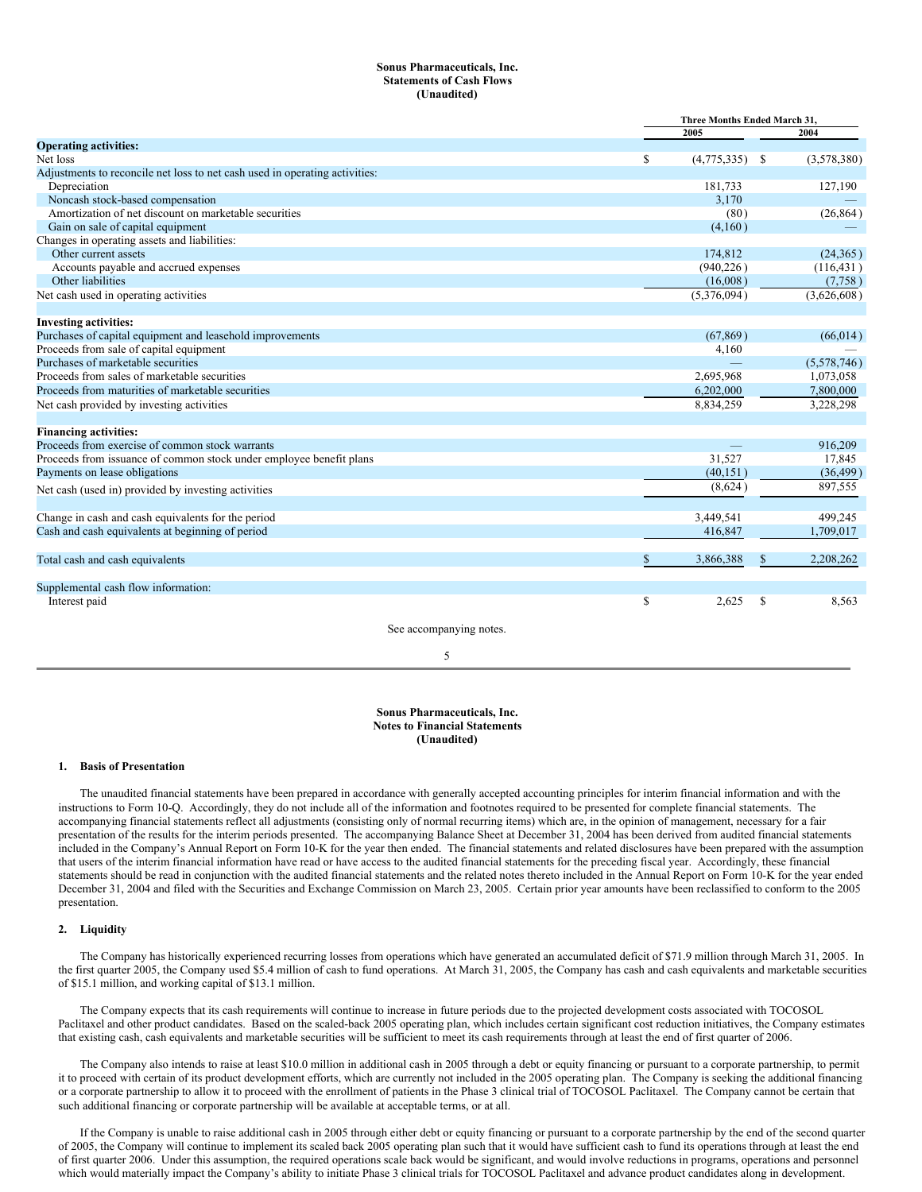### <span id="page-2-0"></span>**Sonus Pharmaceuticals, Inc. Statements of Cash Flows (Unaudited)**

|                                                                             |                   | Three Months Ended March 31, |             |  |
|-----------------------------------------------------------------------------|-------------------|------------------------------|-------------|--|
|                                                                             | 2005              |                              | 2004        |  |
| <b>Operating activities:</b>                                                |                   |                              |             |  |
| Net loss                                                                    | \$<br>(4,775,335) | -S                           | (3,578,380) |  |
| Adjustments to reconcile net loss to net cash used in operating activities: |                   |                              |             |  |
| Depreciation                                                                | 181,733           |                              | 127,190     |  |
| Noncash stock-based compensation                                            | 3.170             |                              |             |  |
| Amortization of net discount on marketable securities                       | (80)              |                              | (26, 864)   |  |
| Gain on sale of capital equipment                                           | (4,160)           |                              |             |  |
| Changes in operating assets and liabilities:                                |                   |                              |             |  |
| Other current assets                                                        | 174,812           |                              | (24, 365)   |  |
| Accounts payable and accrued expenses                                       | (940, 226)        |                              | (116, 431)  |  |
| Other liabilities                                                           | (16,008)          |                              | (7,758)     |  |
| Net cash used in operating activities                                       | (5,376,094)       |                              | (3,626,608) |  |
| <b>Investing activities:</b>                                                |                   |                              |             |  |
| Purchases of capital equipment and leasehold improvements                   | (67, 869)         |                              | (66, 014)   |  |
| Proceeds from sale of capital equipment                                     | 4,160             |                              |             |  |
| Purchases of marketable securities                                          |                   |                              | (5,578,746) |  |
| Proceeds from sales of marketable securities                                | 2,695,968         |                              | 1,073,058   |  |
| Proceeds from maturities of marketable securities                           | 6,202,000         |                              | 7,800,000   |  |
| Net cash provided by investing activities                                   | 8,834,259         |                              | 3,228,298   |  |
|                                                                             |                   |                              |             |  |
| <b>Financing activities:</b>                                                |                   |                              |             |  |
| Proceeds from exercise of common stock warrants                             |                   |                              | 916,209     |  |
| Proceeds from issuance of common stock under employee benefit plans         | 31,527            |                              | 17,845      |  |
| Payments on lease obligations                                               | (40, 151)         |                              | (36, 499)   |  |
| Net cash (used in) provided by investing activities                         | (8,624)           |                              | 897,555     |  |
|                                                                             |                   |                              |             |  |
| Change in cash and cash equivalents for the period                          | 3,449,541         |                              | 499,245     |  |
| Cash and cash equivalents at beginning of period                            | 416,847           |                              | 1,709,017   |  |
| Total cash and cash equivalents                                             | 3,866,388<br>\$   | \$                           | 2,208,262   |  |
| Supplemental cash flow information:                                         |                   |                              |             |  |
| Interest paid                                                               | \$<br>2,625       | <sup>\$</sup>                | 8,563       |  |
| See accompanying notes.                                                     |                   |                              |             |  |

#### 5

#### <span id="page-2-1"></span>**Sonus Pharmaceuticals, Inc. Notes to Financial Statements (Unaudited)**

#### **1. Basis of Presentation**

The unaudited financial statements have been prepared in accordance with generally accepted accounting principles for interim financial information and with the instructions to Form 10-Q. Accordingly, they do not include all of the information and footnotes required to be presented for complete financial statements. The accompanying financial statements reflect all adjustments (consisting only of normal recurring items) which are, in the opinion of management, necessary for a fair presentation of the results for the interim periods presented. The accompanying Balance Sheet at December 31, 2004 has been derived from audited financial statements included in the Company's Annual Report on Form 10-K for the year then ended. The financial statements and related disclosures have been prepared with the assumption that users of the interim financial information have read or have access to the audited financial statements for the preceding fiscal year. Accordingly, these financial statements should be read in conjunction with the audited financial statements and the related notes thereto included in the Annual Report on Form 10-K for the year ended December 31, 2004 and filed with the Securities and Exchange Commission on March 23, 2005. Certain prior year amounts have been reclassified to conform to the 2005 presentation.

#### **2. Liquidity**

The Company has historically experienced recurring losses from operations which have generated an accumulated deficit of \$71.9 million through March 31, 2005. In the first quarter 2005, the Company used \$5.4 million of cash to fund operations. At March 31, 2005, the Company has cash and cash equivalents and marketable securities of \$15.1 million, and working capital of \$13.1 million.

The Company expects that its cash requirements will continue to increase in future periods due to the projected development costs associated with TOCOSOL Paclitaxel and other product candidates. Based on the scaled-back 2005 operating plan, which includes certain significant cost reduction initiatives, the Company estimates that existing cash, cash equivalents and marketable securities will be sufficient to meet its cash requirements through at least the end of first quarter of 2006.

The Company also intends to raise at least \$10.0 million in additional cash in 2005 through a debt or equity financing or pursuant to a corporate partnership, to permit it to proceed with certain of its product development efforts, which are currently not included in the 2005 operating plan. The Company is seeking the additional financing or a corporate partnership to allow it to proceed with the enrollment of patients in the Phase 3 clinical trial of TOCOSOL Paclitaxel. The Company cannot be certain that such additional financing or corporate partnership will be available at acceptable terms, or at all.

If the Company is unable to raise additional cash in 2005 through either debt or equity financing or pursuant to a corporate partnership by the end of the second quarter of 2005, the Company will continue to implement its scaled back 2005 operating plan such that it would have sufficient cash to fund its operations through at least the end of first quarter 2006. Under this assumption, the required operations scale back would be significant, and would involve reductions in programs, operations and personnel which would materially impact the Company's ability to initiate Phase 3 clinical trials for TOCOSOL Paclitaxel and advance product candidates along in development.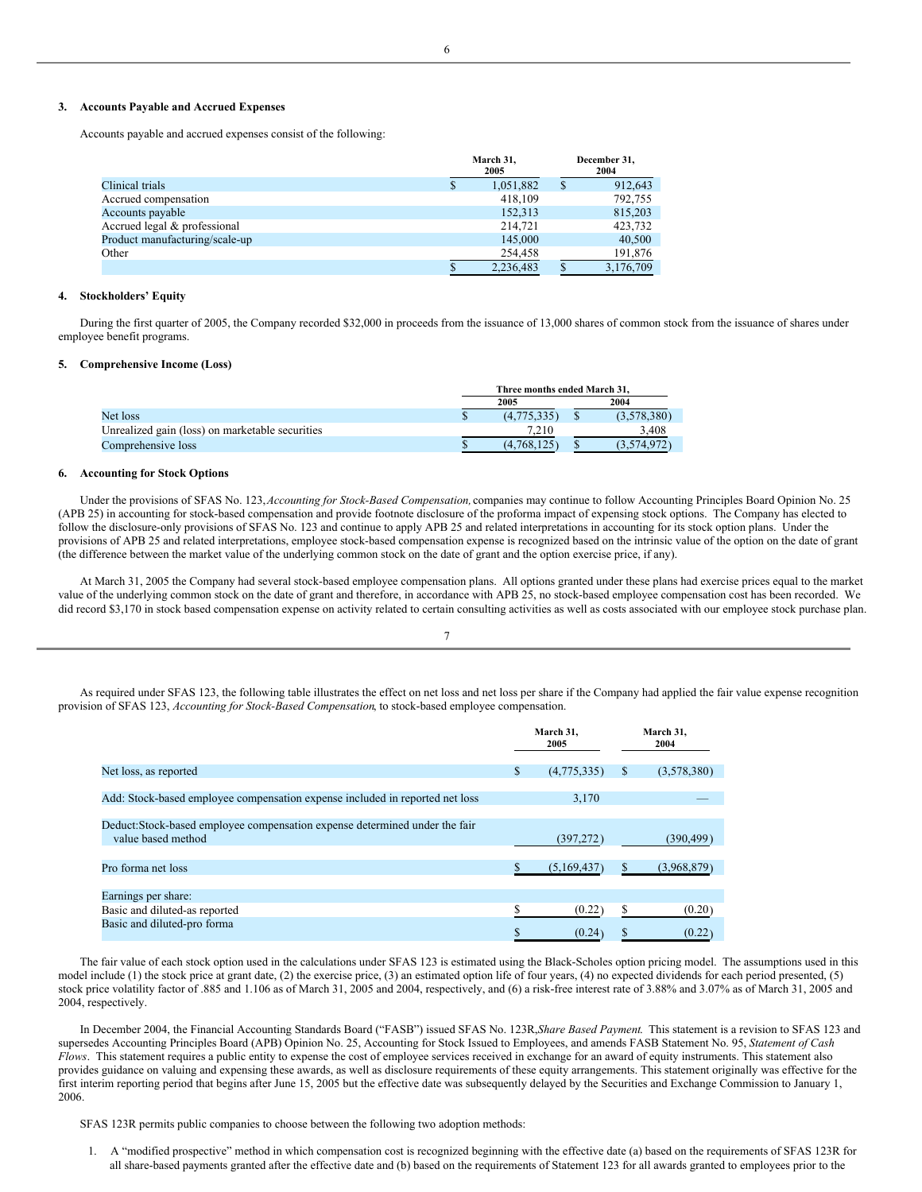## **3. Accounts Payable and Accrued Expenses**

Accounts payable and accrued expenses consist of the following:

|                                |   | March 31,<br>2005 | December 31,<br>2004 |
|--------------------------------|---|-------------------|----------------------|
| Clinical trials                | ъ | 1,051,882         | \$<br>912,643        |
| Accrued compensation           |   | 418.109           | 792.755              |
| Accounts payable               |   | 152,313           | 815,203              |
| Accrued legal & professional   |   | 214,721           | 423,732              |
| Product manufacturing/scale-up |   | 145,000           | 40,500               |
| Other                          |   | 254.458           | 191,876              |
|                                |   | 2.236.483         | 3,176,709            |

#### **4. Stockholders' Equity**

During the first quarter of 2005, the Company recorded \$32,000 in proceeds from the issuance of 13,000 shares of common stock from the issuance of shares under employee benefit programs.

#### **5. Comprehensive Income (Loss)**

|                                                 | Three months ended March 31. |  |             |  |  |
|-------------------------------------------------|------------------------------|--|-------------|--|--|
|                                                 | 2005                         |  | 2004        |  |  |
| Net loss                                        | (4.775.335)                  |  | (3.578.380) |  |  |
| Unrealized gain (loss) on marketable securities | 7.210                        |  | 3.408       |  |  |
| Comprehensive loss                              | (4.768.125)                  |  | (3,574,972) |  |  |

#### **6. Accounting for Stock Options**

Under the provisions of SFAS No. 123,*Accounting for Stock-Based Compensation,* companies may continue to follow Accounting Principles Board Opinion No. 25 (APB 25) in accounting for stock-based compensation and provide footnote disclosure of the proforma impact of expensing stock options. The Company has elected to follow the disclosure-only provisions of SFAS No. 123 and continue to apply APB 25 and related interpretations in accounting for its stock option plans. Under the provisions of APB 25 and related interpretations, employee stock-based compensation expense is recognized based on the intrinsic value of the option on the date of grant (the difference between the market value of the underlying common stock on the date of grant and the option exercise price, if any).

At March 31, 2005 the Company had several stock-based employee compensation plans. All options granted under these plans had exercise prices equal to the market value of the underlying common stock on the date of grant and therefore, in accordance with APB 25, no stock-based employee compensation cost has been recorded. We did record \$3,170 in stock based compensation expense on activity related to certain consulting activities as well as costs associated with our employee stock purchase plan.

7

As required under SFAS 123, the following table illustrates the effect on net loss and net loss per share if the Company had applied the fair value expense recognition provision of SFAS 123, *Accounting for Stock-Based Compensation*, to stock-based employee compensation.

|                                                                                                  |    | March 31,<br>2005 |   | March 31,<br>2004 |
|--------------------------------------------------------------------------------------------------|----|-------------------|---|-------------------|
| Net loss, as reported                                                                            | \$ | (4,775,335)       | S | (3,578,380)       |
| Add: Stock-based employee compensation expense included in reported net loss                     |    | 3,170             |   |                   |
| Deduct:Stock-based employee compensation expense determined under the fair<br>value based method |    | (397, 272)        |   | (390, 499)        |
| Pro forma net loss                                                                               | \$ | (5,169,437)       | S | (3,968,879)       |
| Earnings per share:                                                                              |    |                   |   |                   |
| Basic and diluted-as reported                                                                    |    | (0.22)            | S | (0.20)            |
| Basic and diluted-pro forma                                                                      | S  | (0.24)            |   | (0.22)            |

The fair value of each stock option used in the calculations under SFAS 123 is estimated using the Black-Scholes option pricing model. The assumptions used in this model include (1) the stock price at grant date, (2) the exercise price, (3) an estimated option life of four years, (4) no expected dividends for each period presented, (5) stock price volatility factor of .885 and 1.106 as of March 31, 2005 and 2004, respectively, and (6) a risk-free interest rate of 3.88% and 3.07% as of March 31, 2005 and 2004, respectively.

In December 2004, the Financial Accounting Standards Board ("FASB") issued SFAS No. 123R,*Share Based Payment*. This statement is a revision to SFAS 123 and supersedes Accounting Principles Board (APB) Opinion No. 25, Accounting for Stock Issued to Employees, and amends FASB Statement No. 95, *Statement of Cash Flows*. This statement requires a public entity to expense the cost of employee services received in exchange for an award of equity instruments. This statement also provides guidance on valuing and expensing these awards, as well as disclosure requirements of these equity arrangements. This statement originally was effective for the first interim reporting period that begins after June 15, 2005 but the effective date was subsequently delayed by the Securities and Exchange Commission to January 1, 2006.

SFAS 123R permits public companies to choose between the following two adoption methods:

1. A "modified prospective" method in which compensation cost is recognized beginning with the effective date (a) based on the requirements of SFAS 123R for all share-based payments granted after the effective date and (b) based on the requirements of Statement 123 for all awards granted to employees prior to the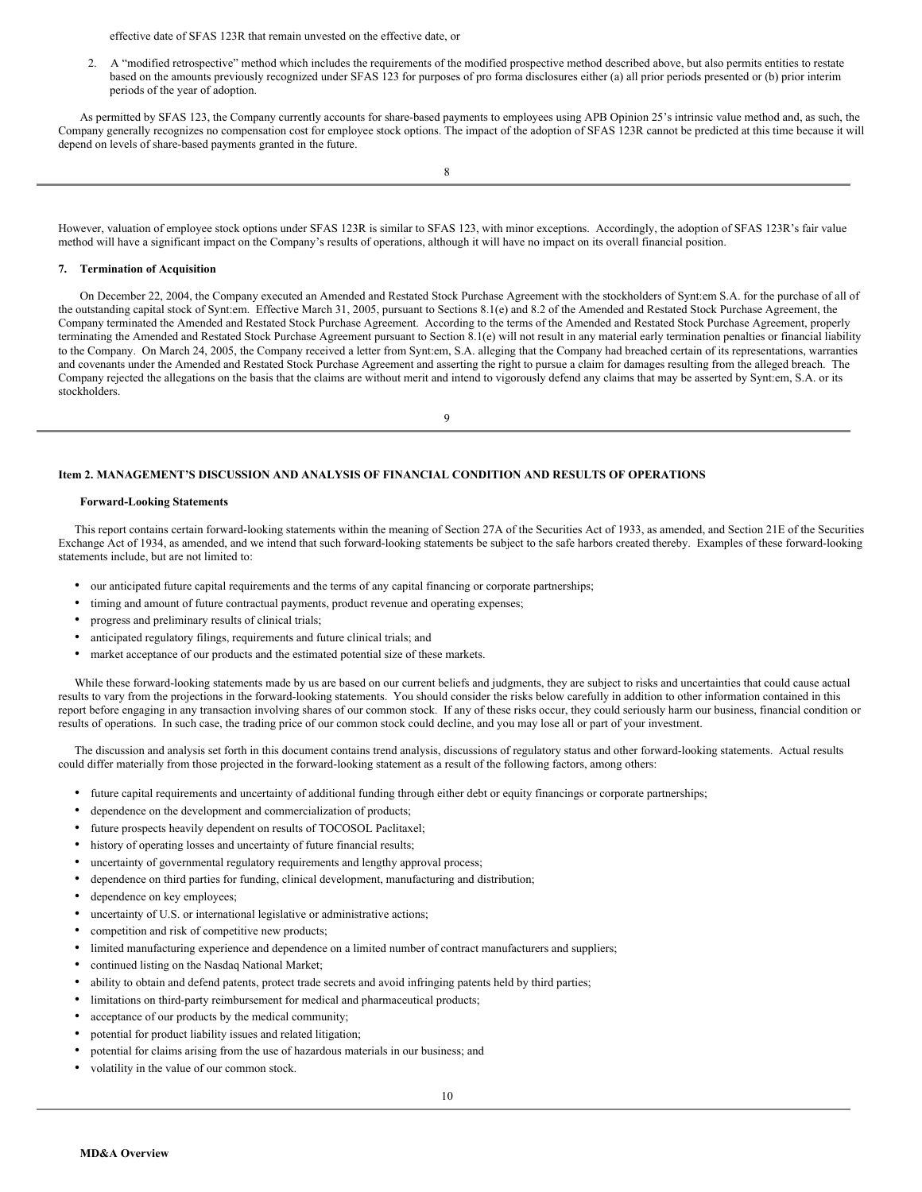effective date of SFAS 123R that remain unvested on the effective date, or

2. A "modified retrospective" method which includes the requirements of the modified prospective method described above, but also permits entities to restate based on the amounts previously recognized under SFAS 123 for purposes of pro forma disclosures either (a) all prior periods presented or (b) prior interim periods of the year of adoption.

As permitted by SFAS 123, the Company currently accounts for share-based payments to employees using APB Opinion 25's intrinsic value method and, as such, the Company generally recognizes no compensation cost for employee stock options. The impact of the adoption of SFAS 123R cannot be predicted at this time because it will depend on levels of share-based payments granted in the future.

However, valuation of employee stock options under SFAS 123R is similar to SFAS 123, with minor exceptions. Accordingly, the adoption of SFAS 123R's fair value method will have a significant impact on the Company's results of operations, although it will have no impact on its overall financial position.

#### **7. Termination of Acquisition**

On December 22, 2004, the Company executed an Amended and Restated Stock Purchase Agreement with the stockholders of Synt:em S.A. for the purchase of all of the outstanding capital stock of Synt:em. Effective March 31, 2005, pursuant to Sections 8.1(e) and 8.2 of the Amended and Restated Stock Purchase Agreement, the Company terminated the Amended and Restated Stock Purchase Agreement. According to the terms of the Amended and Restated Stock Purchase Agreement, properly terminating the Amended and Restated Stock Purchase Agreement pursuant to Section 8.1(e) will not result in any material early termination penalties or financial liability to the Company. On March 24, 2005, the Company received a letter from Synt:em, S.A. alleging that the Company had breached certain of its representations, warranties and covenants under the Amended and Restated Stock Purchase Agreement and asserting the right to pursue a claim for damages resulting from the alleged breach. The Company rejected the allegations on the basis that the claims are without merit and intend to vigorously defend any claims that may be asserted by Synt:em, S.A. or its stockholders.

9

### <span id="page-4-0"></span>**Item 2. MANAGEMENT'S DISCUSSION AND ANALYSIS OF FINANCIAL CONDITION AND RESULTS OF OPERATIONS**

#### **Forward-Looking Statements**

This report contains certain forward-looking statements within the meaning of Section 27A of the Securities Act of 1933, as amended, and Section 21E of the Securities Exchange Act of 1934, as amended, and we intend that such forward-looking statements be subject to the safe harbors created thereby. Examples of these forward-looking statements include, but are not limited to:

- our anticipated future capital requirements and the terms of any capital financing or corporate partnerships;
- timing and amount of future contractual payments, product revenue and operating expenses;
- progress and preliminary results of clinical trials;
- anticipated regulatory filings, requirements and future clinical trials; and
- market acceptance of our products and the estimated potential size of these markets.

While these forward-looking statements made by us are based on our current beliefs and judgments, they are subject to risks and uncertainties that could cause actual results to vary from the projections in the forward-looking statements. You should consider the risks below carefully in addition to other information contained in this report before engaging in any transaction involving shares of our common stock. If any of these risks occur, they could seriously harm our business, financial condition or results of operations. In such case, the trading price of our common stock could decline, and you may lose all or part of your investment.

The discussion and analysis set forth in this document contains trend analysis, discussions of regulatory status and other forward-looking statements. Actual results could differ materially from those projected in the forward-looking statement as a result of the following factors, among others:

- future capital requirements and uncertainty of additional funding through either debt or equity financings or corporate partnerships;
- dependence on the development and commercialization of products;
- future prospects heavily dependent on results of TOCOSOL Paclitaxel;
- history of operating losses and uncertainty of future financial results;
- uncertainty of governmental regulatory requirements and lengthy approval process;
- dependence on third parties for funding, clinical development, manufacturing and distribution;
- dependence on key employees;
- uncertainty of U.S. or international legislative or administrative actions;
- competition and risk of competitive new products;
- limited manufacturing experience and dependence on a limited number of contract manufacturers and suppliers;
- continued listing on the Nasdaq National Market;
- ability to obtain and defend patents, protect trade secrets and avoid infringing patents held by third parties;
- limitations on third-party reimbursement for medical and pharmaceutical products;
- acceptance of our products by the medical community;
- potential for product liability issues and related litigation;
- potential for claims arising from the use of hazardous materials in our business; and
- volatility in the value of our common stock.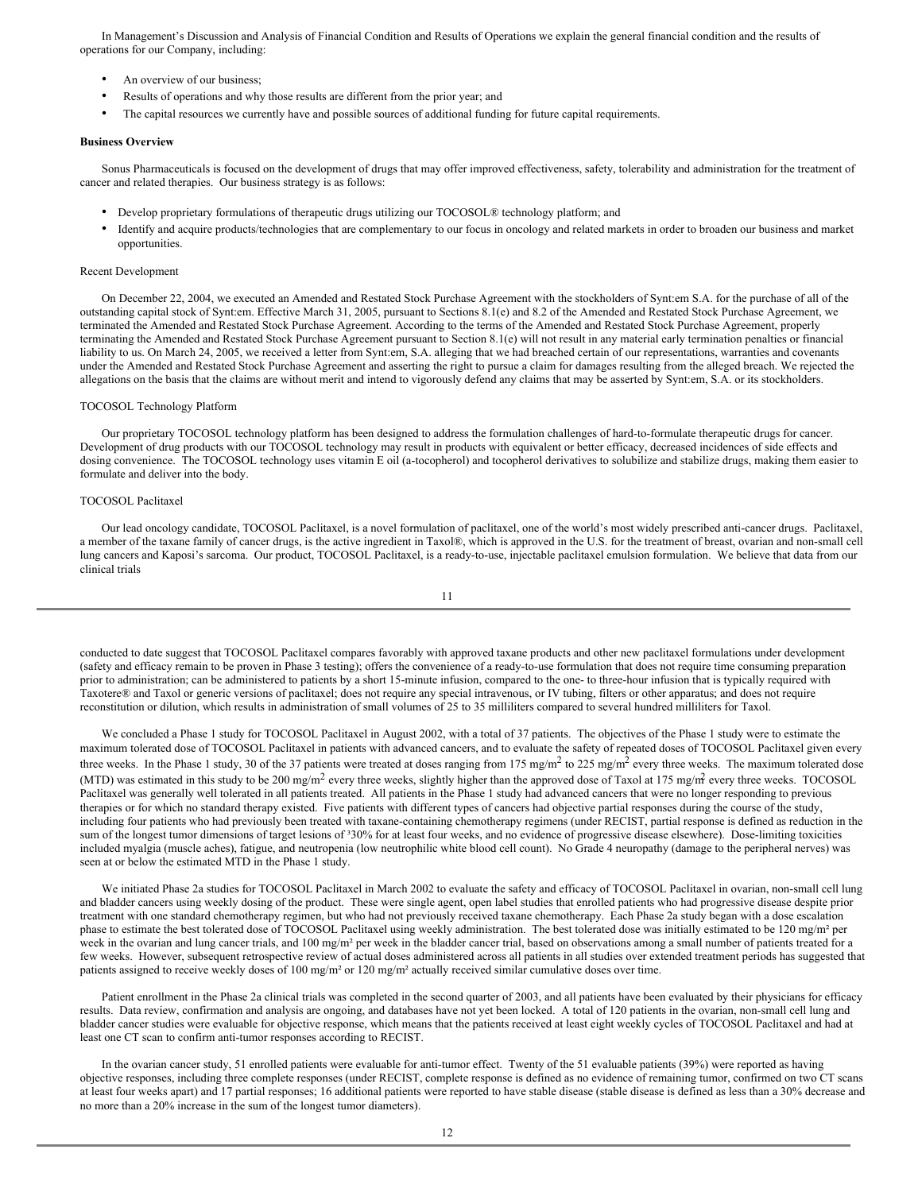In Management's Discussion and Analysis of Financial Condition and Results of Operations we explain the general financial condition and the results of operations for our Company, including:

- An overview of our business;
- Results of operations and why those results are different from the prior year; and
- The capital resources we currently have and possible sources of additional funding for future capital requirements.

#### **Business Overview**

Sonus Pharmaceuticals is focused on the development of drugs that may offer improved effectiveness, safety, tolerability and administration for the treatment of cancer and related therapies. Our business strategy is as follows:

- Develop proprietary formulations of therapeutic drugs utilizing our TOCOSOL® technology platform; and
- Identify and acquire products/technologies that are complementary to our focus in oncology and related markets in order to broaden our business and market opportunities.

# Recent Development

On December 22, 2004, we executed an Amended and Restated Stock Purchase Agreement with the stockholders of Synt:em S.A. for the purchase of all of the outstanding capital stock of Synt:em. Effective March 31, 2005, pursuant to Sections 8.1(e) and 8.2 of the Amended and Restated Stock Purchase Agreement, we terminated the Amended and Restated Stock Purchase Agreement. According to the terms of the Amended and Restated Stock Purchase Agreement, properly terminating the Amended and Restated Stock Purchase Agreement pursuant to Section 8.1(e) will not result in any material early termination penalties or financial liability to us. On March 24, 2005, we received a letter from Synt:em, S.A. alleging that we had breached certain of our representations, warranties and covenants under the Amended and Restated Stock Purchase Agreement and asserting the right to pursue a claim for damages resulting from the alleged breach. We rejected the allegations on the basis that the claims are without merit and intend to vigorously defend any claims that may be asserted by Synt:em, S.A. or its stockholders.

# TOCOSOL Technology Platform

Our proprietary TOCOSOL technology platform has been designed to address the formulation challenges of hard-to-formulate therapeutic drugs for cancer. Development of drug products with our TOCOSOL technology may result in products with equivalent or better efficacy, decreased incidences of side effects and dosing convenience. The TOCOSOL technology uses vitamin E oil (a-tocopherol) and tocopherol derivatives to solubilize and stabilize drugs, making them easier to formulate and deliver into the body.

## TOCOSOL Paclitaxel

Our lead oncology candidate, TOCOSOL Paclitaxel, is a novel formulation of paclitaxel, one of the world's most widely prescribed anti-cancer drugs. Paclitaxel, a member of the taxane family of cancer drugs, is the active ingredient in Taxol®, which is approved in the U.S. for the treatment of breast, ovarian and non-small cell lung cancers and Kaposi's sarcoma. Our product, TOCOSOL Paclitaxel, is a ready-to-use, injectable paclitaxel emulsion formulation. We believe that data from our clinical trials

$$
11\,
$$

conducted to date suggest that TOCOSOL Paclitaxel compares favorably with approved taxane products and other new paclitaxel formulations under development (safety and efficacy remain to be proven in Phase 3 testing); offers the convenience of a ready-to-use formulation that does not require time consuming preparation prior to administration; can be administered to patients by a short 15-minute infusion, compared to the one- to three-hour infusion that is typically required with Taxotere® and Taxol or generic versions of paclitaxel; does not require any special intravenous, or IV tubing, filters or other apparatus; and does not require reconstitution or dilution, which results in administration of small volumes of 25 to 35 milliliters compared to several hundred milliliters for Taxol.

We concluded a Phase 1 study for TOCOSOL Paclitaxel in August 2002, with a total of 37 patients. The objectives of the Phase 1 study were to estimate the maximum tolerated dose of TOCOSOL Paclitaxel in patients with advanced cancers, and to evaluate the safety of repeated doses of TOCOSOL Paclitaxel given every three weeks. In the Phase 1 study, 30 of the 37 patients were treated at doses ranging from 175 mg/m<sup>2</sup> to 225 mg/m<sup>2</sup> every three weeks. The maximum tolerated dose (MTD) was estimated in this study to be 200 mg/m<sup>2</sup> every three weeks, slightly higher than the approved dose of Taxol at 175 mg/m<sup>2</sup> every three weeks. TOCOSOL Paclitaxel was generally well tolerated in all patients treated. All patients in the Phase 1 study had advanced cancers that were no longer responding to previous therapies or for which no standard therapy existed. Five patients with different types of cancers had objective partial responses during the course of the study, including four patients who had previously been treated with taxane-containing chemotherapy regimens (under RECIST, partial response is defined as reduction in the sum of the longest tumor dimensions of target lesions of <sup>3</sup>30% for at least four weeks, and no evidence of progressive disease elsewhere). Dose-limiting toxicities included myalgia (muscle aches), fatigue, and neutropenia (low neutrophilic white blood cell count). No Grade 4 neuropathy (damage to the peripheral nerves) was seen at or below the estimated MTD in the Phase 1 study.

We initiated Phase 2a studies for TOCOSOL Paclitaxel in March 2002 to evaluate the safety and efficacy of TOCOSOL Paclitaxel in ovarian, non-small cell lung and bladder cancers using weekly dosing of the product. These were single agent, open label studies that enrolled patients who had progressive disease despite prior treatment with one standard chemotherapy regimen, but who had not previously received taxane chemotherapy. Each Phase 2a study began with a dose escalation phase to estimate the best tolerated dose of TOCOSOL Paclitaxel using weekly administration. The best tolerated dose was initially estimated to be 120 mg/m<sup>2</sup> per week in the ovarian and lung cancer trials, and 100 mg/m<sup>2</sup> per week in the bladder cancer trial, based on observations among a small number of patients treated for a few weeks. However, subsequent retrospective review of actual doses administered across all patients in all studies over extended treatment periods has suggested that patients assigned to receive weekly doses of 100 mg/m<sup>2</sup> or 120 mg/m<sup>2</sup> actually received similar cumulative doses over time.

Patient enrollment in the Phase 2a clinical trials was completed in the second quarter of 2003, and all patients have been evaluated by their physicians for efficacy results. Data review, confirmation and analysis are ongoing, and databases have not yet been locked. A total of 120 patients in the ovarian, non-small cell lung and bladder cancer studies were evaluable for objective response, which means that the patients received at least eight weekly cycles of TOCOSOL Paclitaxel and had at least one CT scan to confirm anti-tumor responses according to RECIST.

In the ovarian cancer study, 51 enrolled patients were evaluable for anti-tumor effect. Twenty of the 51 evaluable patients (39%) were reported as having objective responses, including three complete responses (under RECIST, complete response is defined as no evidence of remaining tumor, confirmed on two CT scans at least four weeks apart) and 17 partial responses; 16 additional patients were reported to have stable disease (stable disease is defined as less than a 30% decrease and no more than a 20% increase in the sum of the longest tumor diameters).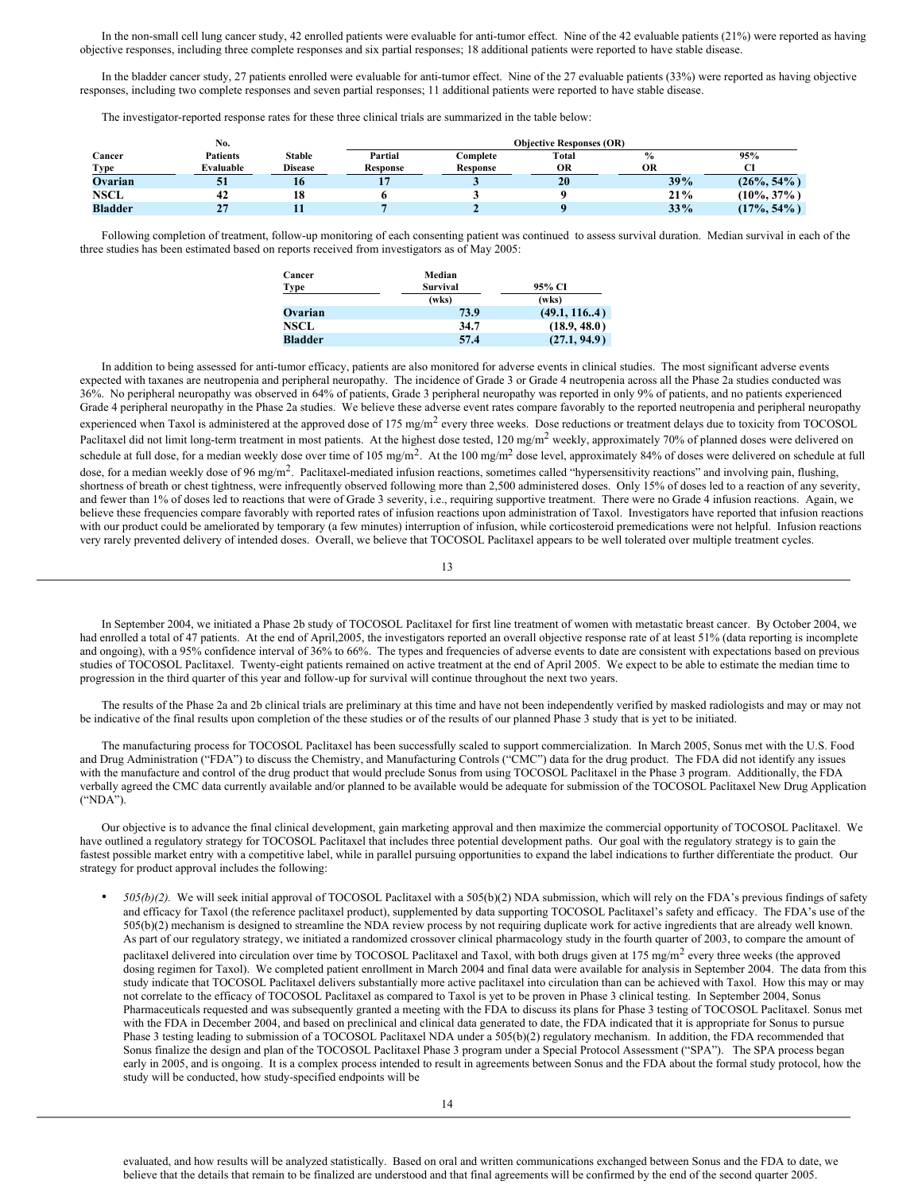In the non-small cell lung cancer study, 42 enrolled patients were evaluable for anti-tumor effect. Nine of the 42 evaluable patients (21%) were reported as having objective responses, including three complete responses and six partial responses; 18 additional patients were reported to have stable disease.

In the bladder cancer study, 27 patients enrolled were evaluable for anti-tumor effect. Nine of the 27 evaluable patients (33%) were reported as having objective responses, including two complete responses and seven partial responses; 11 additional patients were reported to have stable disease.

The investigator-reported response rates for these three clinical trials are summarized in the table below:

|                | No.             |                |          |                 | <b>Obiective Responses (OR)</b> |               |                |
|----------------|-----------------|----------------|----------|-----------------|---------------------------------|---------------|----------------|
| Cancer         | <b>Patients</b> | Stable         | Partial  | <b>€omplete</b> | Total                           | $\frac{0}{0}$ | 95%            |
| Type           | Evaluable       | <b>Disease</b> | Response | <b>Response</b> | OR                              | OR            |                |
| Ovarian        | IJ              | 10             |          |                 | 20                              | 39%           | $(26\%, 54\%)$ |
| <b>NSCL</b>    | - 4             | 18             |          |                 |                                 | 21%           | $(10\%, 37\%)$ |
| <b>Bladder</b> |                 |                |          |                 |                                 | $33\%$        | $(17\%, 54\%)$ |

Following completion of treatment, follow-up monitoring of each consenting patient was continued to assess survival duration. Median survival in each of the three studies has been estimated based on reports received from investigators as of May 2005:

| Cancer         | Median   |               |
|----------------|----------|---------------|
| Type           | Survival | 95% CI        |
|                | (wks)    | (wks)         |
| Ovarian        | 73.9     | (49.1, 116.4) |
| NSCL           | 34.7     | (18.9, 48.0)  |
| <b>Bladder</b> | 57.4     | (27.1, 94.9)  |

In addition to being assessed for anti-tumor efficacy, patients are also monitored for adverse events in clinical studies. The most significant adverse events expected with taxanes are neutropenia and peripheral neuropathy. The incidence of Grade 3 or Grade 4 neutropenia across all the Phase 2a studies conducted was 36%. No peripheral neuropathy was observed in 64% of patients, Grade 3 peripheral neuropathy was reported in only 9% of patients, and no patients experienced Grade 4 peripheral neuropathy in the Phase 2a studies. We believe these adverse event rates compare favorably to the reported neutropenia and peripheral neuropathy experienced when Taxol is administered at the approved dose of 175 mg/m<sup>2</sup> every three weeks. Dose reductions or treatment delays due to toxicity from TOCOSOL Paclitaxel did not limit long-term treatment in most patients. At the highest dose tested, 120 mg/m<sup>2</sup> weekly, approximately 70% of planned doses were delivered on schedule at full dose, for a median weekly dose over time of 105 mg/m<sup>2</sup>. At the 100 mg/m<sup>2</sup> dose level, approximately 84% of doses were delivered on schedule at full dose, for a median weekly dose of 96 mg/m<sup>2</sup>. Paclitaxel-mediated infusion reactions, sometimes called "hypersensitivity reactions" and involving pain, flushing, shortness of breath or chest tightness, were infrequently observed following more than 2,500 administered doses. Only 15% of doses led to a reaction of any severity, and fewer than 1% of doses led to reactions that were of Grade 3 severity, i.e., requiring supportive treatment. There were no Grade 4 infusion reactions. Again, we believe these frequencies compare favorably with reported rates of infusion reactions upon administration of Taxol. Investigators have reported that infusion reactions with our product could be ameliorated by temporary (a few minutes) interruption of infusion, while corticosteroid premedications were not helpful. Infusion reactions very rarely prevented delivery of intended doses. Overall, we believe that TOCOSOL Paclitaxel appears to be well tolerated over multiple treatment cycles.

13

In September 2004, we initiated a Phase 2b study of TOCOSOL Paclitaxel for first line treatment of women with metastatic breast cancer. By October 2004, we had enrolled a total of 47 patients. At the end of April,2005, the investigators reported an overall objective response rate of at least 51% (data reporting is incomplete and ongoing), with a 95% confidence interval of 36% to 66%. The types and frequencies of adverse events to date are consistent with expectations based on previous studies of TOCOSOL Paclitaxel. Twenty-eight patients remained on active treatment at the end of April 2005. We expect to be able to estimate the median time to progression in the third quarter of this year and follow-up for survival will continue throughout the next two years.

The results of the Phase 2a and 2b clinical trials are preliminary at this time and have not been independently verified by masked radiologists and may or may not be indicative of the final results upon completion of the these studies or of the results of our planned Phase 3 study that is yet to be initiated.

The manufacturing process for TOCOSOL Paclitaxel has been successfully scaled to support commercialization. In March 2005, Sonus met with the U.S. Food and Drug Administration ("FDA") to discuss the Chemistry, and Manufacturing Controls ("CMC") data for the drug product. The FDA did not identify any issues with the manufacture and control of the drug product that would preclude Sonus from using TOCOSOL Paclitaxel in the Phase 3 program. Additionally, the FDA verbally agreed the CMC data currently available and/or planned to be available would be adequate for submission of the TOCOSOL Paclitaxel New Drug Application ("NDA").

Our objective is to advance the final clinical development, gain marketing approval and then maximize the commercial opportunity of TOCOSOL Paclitaxel. We have outlined a regulatory strategy for TOCOSOL Paclitaxel that includes three potential development paths. Our goal with the regulatory strategy is to gain the fastest possible market entry with a competitive label, while in parallel pursuing opportunities to expand the label indications to further differentiate the product. Our strategy for product approval includes the following:

• *505(b)(2).* We will seek initial approval of TOCOSOL Paclitaxel with a 505(b)(2) NDA submission, which will rely on the FDA's previous findings of safety and efficacy for Taxol (the reference paclitaxel product), supplemented by data supporting TOCOSOL Paclitaxel's safety and efficacy. The FDA's use of the 505(b)(2) mechanism is designed to streamline the NDA review process by not requiring duplicate work for active ingredients that are already well known. As part of our regulatory strategy, we initiated a randomized crossover clinical pharmacology study in the fourth quarter of 2003, to compare the amount of paclitaxel delivered into circulation over time by TOCOSOL Paclitaxel and Taxol, with both drugs given at  $175 \text{ mg/m}^2$  every three weeks (the approved dosing regimen for Taxol). We completed patient enrollment in March 2004 and final data were available for analysis in September 2004. The data from this study indicate that TOCOSOL Paclitaxel delivers substantially more active paclitaxel into circulation than can be achieved with Taxol. How this may or may not correlate to the efficacy of TOCOSOL Paclitaxel as compared to Taxol is yet to be proven in Phase 3 clinical testing. In September 2004, Sonus Pharmaceuticals requested and was subsequently granted a meeting with the FDA to discuss its plans for Phase 3 testing of TOCOSOL Paclitaxel. Sonus met with the FDA in December 2004, and based on preclinical and clinical data generated to date, the FDA indicated that it is appropriate for Sonus to pursue Phase 3 testing leading to submission of a TOCOSOL Paclitaxel NDA under a 505(b)(2) regulatory mechanism. In addition, the FDA recommended that Sonus finalize the design and plan of the TOCOSOL Paclitaxel Phase 3 program under a Special Protocol Assessment ("SPA"). The SPA process began early in 2005, and is ongoing. It is a complex process intended to result in agreements between Sonus and the FDA about the formal study protocol, how the study will be conducted, how study-specified endpoints will be

evaluated, and how results will be analyzed statistically. Based on oral and written communications exchanged between Sonus and the FDA to date, we believe that the details that remain to be finalized are understood and that final agreements will be confirmed by the end of the second quarter 2005.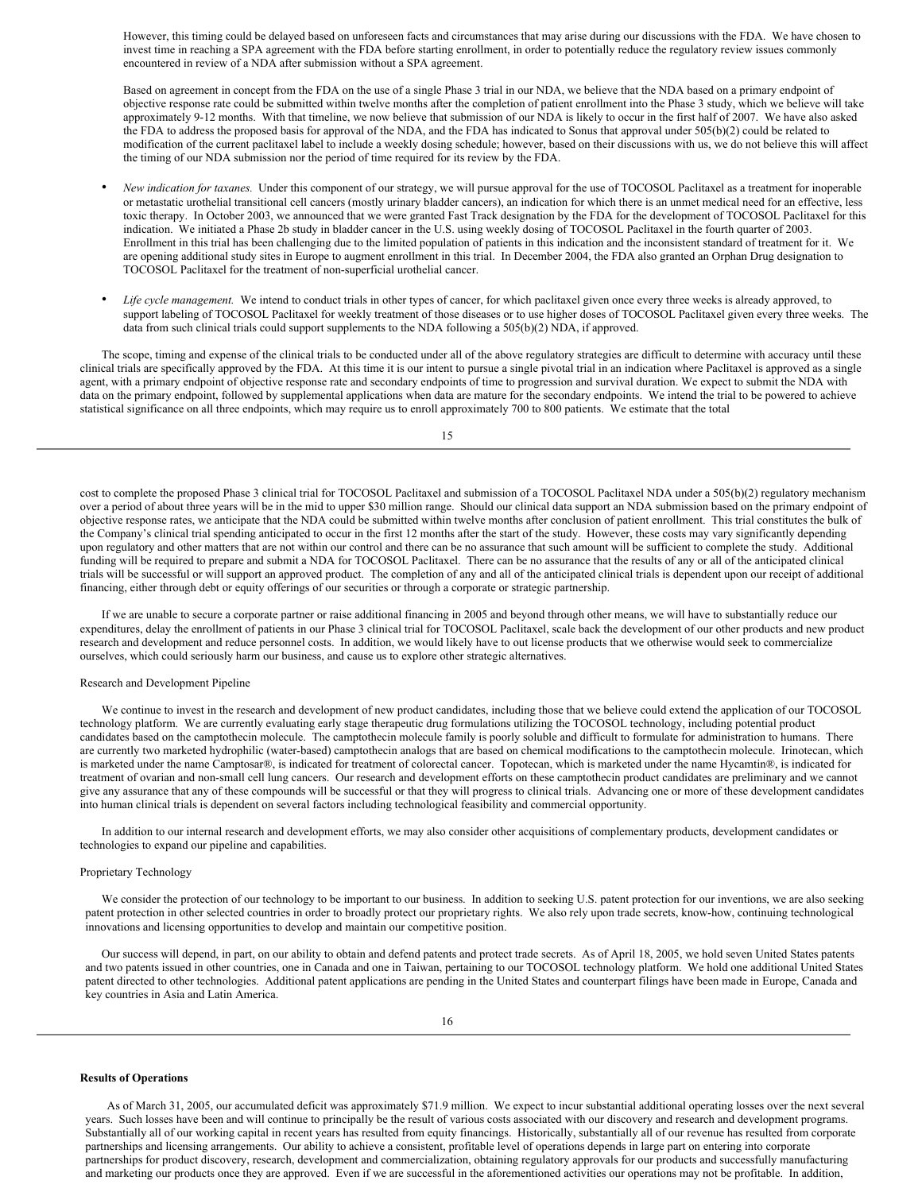However, this timing could be delayed based on unforeseen facts and circumstances that may arise during our discussions with the FDA. We have chosen to invest time in reaching a SPA agreement with the FDA before starting enrollment, in order to potentially reduce the regulatory review issues commonly encountered in review of a NDA after submission without a SPA agreement.

Based on agreement in concept from the FDA on the use of a single Phase 3 trial in our NDA, we believe that the NDA based on a primary endpoint of objective response rate could be submitted within twelve months after the completion of patient enrollment into the Phase 3 study, which we believe will take approximately 9-12 months. With that timeline, we now believe that submission of our NDA is likely to occur in the first half of 2007. We have also asked the FDA to address the proposed basis for approval of the NDA, and the FDA has indicated to Sonus that approval under 505(b)(2) could be related to modification of the current paclitaxel label to include a weekly dosing schedule; however, based on their discussions with us, we do not believe this will affect the timing of our NDA submission nor the period of time required for its review by the FDA.

- *New indication for taxanes.* Under this component of our strategy, we will pursue approval for the use of TOCOSOL Paclitaxel as a treatment for inoperable or metastatic urothelial transitional cell cancers (mostly urinary bladder cancers), an indication for which there is an unmet medical need for an effective, less toxic therapy. In October 2003, we announced that we were granted Fast Track designation by the FDA for the development of TOCOSOL Paclitaxel for this indication. We initiated a Phase 2b study in bladder cancer in the U.S. using weekly dosing of TOCOSOL Paclitaxel in the fourth quarter of 2003. Enrollment in this trial has been challenging due to the limited population of patients in this indication and the inconsistent standard of treatment for it. We are opening additional study sites in Europe to augment enrollment in this trial. In December 2004, the FDA also granted an Orphan Drug designation to TOCOSOL Paclitaxel for the treatment of non-superficial urothelial cancer.
- *Life cycle management.* We intend to conduct trials in other types of cancer, for which paclitaxel given once every three weeks is already approved, to support labeling of TOCOSOL Paclitaxel for weekly treatment of those diseases or to use higher doses of TOCOSOL Paclitaxel given every three weeks. The data from such clinical trials could support supplements to the NDA following a 505(b)(2) NDA, if approved.

The scope, timing and expense of the clinical trials to be conducted under all of the above regulatory strategies are difficult to determine with accuracy until these clinical trials are specifically approved by the FDA. At this time it is our intent to pursue a single pivotal trial in an indication where Paclitaxel is approved as a single agent, with a primary endpoint of objective response rate and secondary endpoints of time to progression and survival duration. We expect to submit the NDA with data on the primary endpoint, followed by supplemental applications when data are mature for the secondary endpoints. We intend the trial to be powered to achieve statistical significance on all three endpoints, which may require us to enroll approximately 700 to 800 patients. We estimate that the total

15

cost to complete the proposed Phase 3 clinical trial for TOCOSOL Paclitaxel and submission of a TOCOSOL Paclitaxel NDA under a 505(b)(2) regulatory mechanism over a period of about three years will be in the mid to upper \$30 million range. Should our clinical data support an NDA submission based on the primary endpoint of objective response rates, we anticipate that the NDA could be submitted within twelve months after conclusion of patient enrollment. This trial constitutes the bulk of the Company's clinical trial spending anticipated to occur in the first 12 months after the start of the study. However, these costs may vary significantly depending upon regulatory and other matters that are not within our control and there can be no assurance that such amount will be sufficient to complete the study. Additional funding will be required to prepare and submit a NDA for TOCOSOL Paclitaxel. There can be no assurance that the results of any or all of the anticipated clinical trials will be successful or will support an approved product. The completion of any and all of the anticipated clinical trials is dependent upon our receipt of additional financing, either through debt or equity offerings of our securities or through a corporate or strategic partnership.

If we are unable to secure a corporate partner or raise additional financing in 2005 and beyond through other means, we will have to substantially reduce our expenditures, delay the enrollment of patients in our Phase 3 clinical trial for TOCOSOL Paclitaxel, scale back the development of our other products and new product research and development and reduce personnel costs. In addition, we would likely have to out license products that we otherwise would seek to commercialize ourselves, which could seriously harm our business, and cause us to explore other strategic alternatives.

#### Research and Development Pipeline

We continue to invest in the research and development of new product candidates, including those that we believe could extend the application of our TOCOSOL technology platform. We are currently evaluating early stage therapeutic drug formulations utilizing the TOCOSOL technology, including potential product candidates based on the camptothecin molecule. The camptothecin molecule family is poorly soluble and difficult to formulate for administration to humans. There are currently two marketed hydrophilic (water-based) camptothecin analogs that are based on chemical modifications to the camptothecin molecule. Irinotecan, which is marketed under the name Camptosar®, is indicated for treatment of colorectal cancer. Topotecan, which is marketed under the name Hycamtin®, is indicated for treatment of ovarian and non-small cell lung cancers. Our research and development efforts on these camptothecin product candidates are preliminary and we cannot give any assurance that any of these compounds will be successful or that they will progress to clinical trials. Advancing one or more of these development candidates into human clinical trials is dependent on several factors including technological feasibility and commercial opportunity.

In addition to our internal research and development efforts, we may also consider other acquisitions of complementary products, development candidates or technologies to expand our pipeline and capabilities.

# Proprietary Technology

We consider the protection of our technology to be important to our business. In addition to seeking U.S. patent protection for our inventions, we are also seeking patent protection in other selected countries in order to broadly protect our proprietary rights. We also rely upon trade secrets, know-how, continuing technological innovations and licensing opportunities to develop and maintain our competitive position.

Our success will depend, in part, on our ability to obtain and defend patents and protect trade secrets. As of April 18, 2005, we hold seven United States patents and two patents issued in other countries, one in Canada and one in Taiwan, pertaining to our TOCOSOL technology platform. We hold one additional United States patent directed to other technologies. Additional patent applications are pending in the United States and counterpart filings have been made in Europe, Canada and key countries in Asia and Latin America.

#### **Results of Operations**

As of March 31, 2005, our accumulated deficit was approximately \$71.9 million. We expect to incur substantial additional operating losses over the next several years. Such losses have been and will continue to principally be the result of various costs associated with our discovery and research and development programs. Substantially all of our working capital in recent years has resulted from equity financings. Historically, substantially all of our revenue has resulted from corporate partnerships and licensing arrangements. Our ability to achieve a consistent, profitable level of operations depends in large part on entering into corporate partnerships for product discovery, research, development and commercialization, obtaining regulatory approvals for our products and successfully manufacturing and marketing our products once they are approved. Even if we are successful in the aforementioned activities our operations may not be profitable. In addition,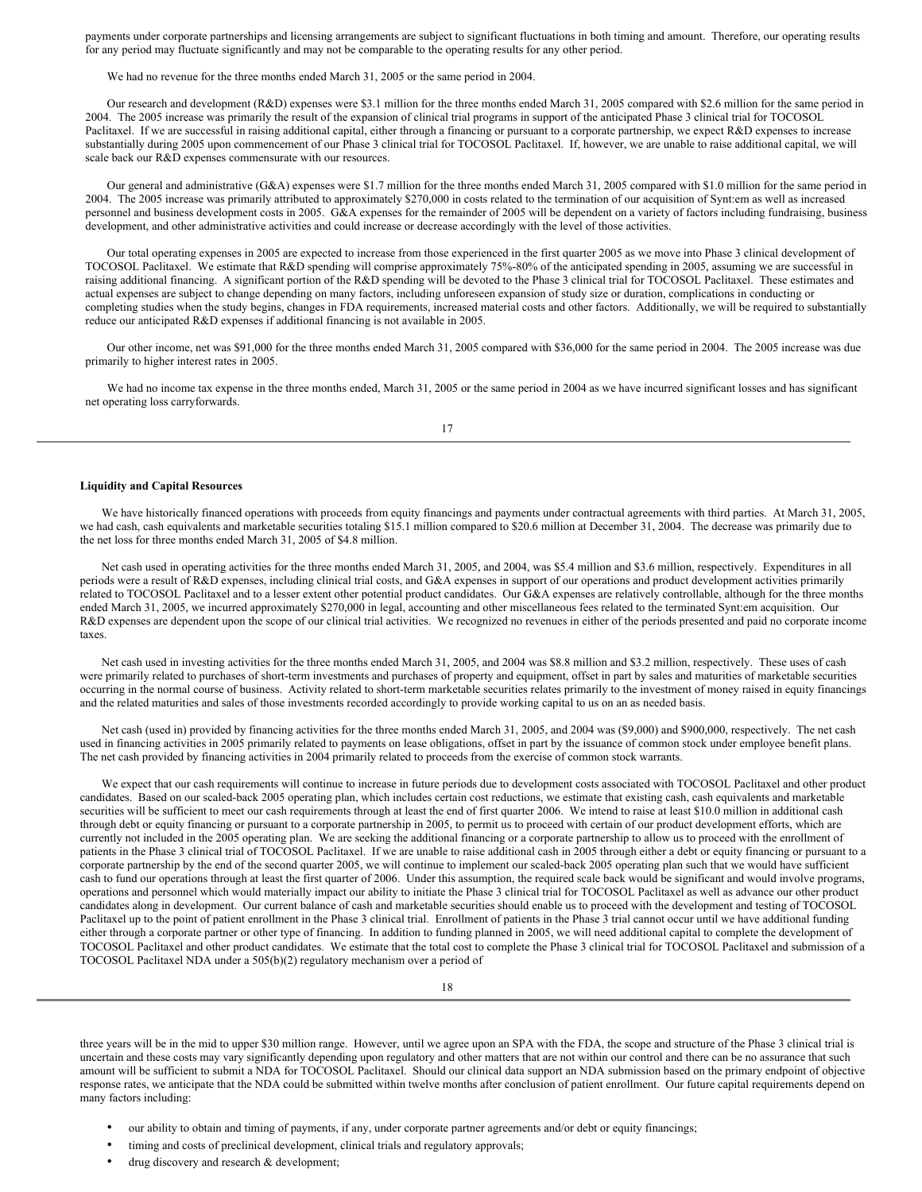payments under corporate partnerships and licensing arrangements are subject to significant fluctuations in both timing and amount. Therefore, our operating results for any period may fluctuate significantly and may not be comparable to the operating results for any other period.

We had no revenue for the three months ended March 31, 2005 or the same period in 2004.

Our research and development (R&D) expenses were \$3.1 million for the three months ended March 31, 2005 compared with \$2.6 million for the same period in 2004. The 2005 increase was primarily the result of the expansion of clinical trial programs in support of the anticipated Phase 3 clinical trial for TOCOSOL Paclitaxel. If we are successful in raising additional capital, either through a financing or pursuant to a corporate partnership, we expect R&D expenses to increase substantially during 2005 upon commencement of our Phase 3 clinical trial for TOCOSOL Paclitaxel. If, however, we are unable to raise additional capital, we will scale back our R&D expenses commensurate with our resources.

Our general and administrative (G&A) expenses were \$1.7 million for the three months ended March 31, 2005 compared with \$1.0 million for the same period in 2004. The 2005 increase was primarily attributed to approximately \$270,000 in costs related to the termination of our acquisition of Synt:em as well as increased personnel and business development costs in 2005. G&A expenses for the remainder of 2005 will be dependent on a variety of factors including fundraising, business development, and other administrative activities and could increase or decrease accordingly with the level of those activities.

Our total operating expenses in 2005 are expected to increase from those experienced in the first quarter 2005 as we move into Phase 3 clinical development of TOCOSOL Paclitaxel. We estimate that R&D spending will comprise approximately 75%-80% of the anticipated spending in 2005, assuming we are successful in raising additional financing. A significant portion of the R&D spending will be devoted to the Phase 3 clinical trial for TOCOSOL Paclitaxel. These estimates and actual expenses are subject to change depending on many factors, including unforeseen expansion of study size or duration, complications in conducting or completing studies when the study begins, changes in FDA requirements, increased material costs and other factors. Additionally, we will be required to substantially reduce our anticipated R&D expenses if additional financing is not available in 2005.

Our other income, net was \$91,000 for the three months ended March 31, 2005 compared with \$36,000 for the same period in 2004. The 2005 increase was due primarily to higher interest rates in 2005.

We had no income tax expense in the three months ended, March 31, 2005 or the same period in 2004 as we have incurred significant losses and has significant net operating loss carryforwards.

17

## **Liquidity and Capital Resources**

We have historically financed operations with proceeds from equity financings and payments under contractual agreements with third parties. At March 31, 2005, we had cash, cash equivalents and marketable securities totaling \$15.1 million compared to \$20.6 million at December 31, 2004. The decrease was primarily due to the net loss for three months ended March 31, 2005 of \$4.8 million.

Net cash used in operating activities for the three months ended March 31, 2005, and 2004, was \$5.4 million and \$3.6 million, respectively. Expenditures in all periods were a result of R&D expenses, including clinical trial costs, and G&A expenses in support of our operations and product development activities primarily related to TOCOSOL Paclitaxel and to a lesser extent other potential product candidates. Our G&A expenses are relatively controllable, although for the three months ended March 31, 2005, we incurred approximately \$270,000 in legal, accounting and other miscellaneous fees related to the terminated Synt:em acquisition. Our R&D expenses are dependent upon the scope of our clinical trial activities. We recognized no revenues in either of the periods presented and paid no corporate income taxes.

Net cash used in investing activities for the three months ended March 31, 2005, and 2004 was \$8.8 million and \$3.2 million, respectively. These uses of cash were primarily related to purchases of short-term investments and purchases of property and equipment, offset in part by sales and maturities of marketable securities occurring in the normal course of business. Activity related to short-term marketable securities relates primarily to the investment of money raised in equity financings and the related maturities and sales of those investments recorded accordingly to provide working capital to us on an as needed basis.

Net cash (used in) provided by financing activities for the three months ended March 31, 2005, and 2004 was (\$9,000) and \$900,000, respectively. The net cash used in financing activities in 2005 primarily related to payments on lease obligations, offset in part by the issuance of common stock under employee benefit plans. The net cash provided by financing activities in 2004 primarily related to proceeds from the exercise of common stock warrants.

We expect that our cash requirements will continue to increase in future periods due to development costs associated with TOCOSOL Paclitaxel and other product candidates. Based on our scaled-back 2005 operating plan, which includes certain cost reductions, we estimate that existing cash, cash equivalents and marketable securities will be sufficient to meet our cash requirements through at least the end of first quarter 2006. We intend to raise at least \$10.0 million in additional cash through debt or equity financing or pursuant to a corporate partnership in 2005, to permit us to proceed with certain of our product development efforts, which are currently not included in the 2005 operating plan. We are seeking the additional financing or a corporate partnership to allow us to proceed with the enrollment of patients in the Phase 3 clinical trial of TOCOSOL Paclitaxel. If we are unable to raise additional cash in 2005 through either a debt or equity financing or pursuant to a corporate partnership by the end of the second quarter 2005, we will continue to implement our scaled-back 2005 operating plan such that we would have sufficient cash to fund our operations through at least the first quarter of 2006. Under this assumption, the required scale back would be significant and would involve programs, operations and personnel which would materially impact our ability to initiate the Phase 3 clinical trial for TOCOSOL Paclitaxel as well as advance our other product candidates along in development. Our current balance of cash and marketable securities should enable us to proceed with the development and testing of TOCOSOL Paclitaxel up to the point of patient enrollment in the Phase 3 clinical trial. Enrollment of patients in the Phase 3 trial cannot occur until we have additional funding either through a corporate partner or other type of financing. In addition to funding planned in 2005, we will need additional capital to complete the development of TOCOSOL Paclitaxel and other product candidates. We estimate that the total cost to complete the Phase 3 clinical trial for TOCOSOL Paclitaxel and submission of a TOCOSOL Paclitaxel NDA under a 505(b)(2) regulatory mechanism over a period of

three years will be in the mid to upper \$30 million range. However, until we agree upon an SPA with the FDA, the scope and structure of the Phase 3 clinical trial is uncertain and these costs may vary significantly depending upon regulatory and other matters that are not within our control and there can be no assurance that such amount will be sufficient to submit a NDA for TOCOSOL Paclitaxel. Should our clinical data support an NDA submission based on the primary endpoint of objective response rates, we anticipate that the NDA could be submitted within twelve months after conclusion of patient enrollment. Our future capital requirements depend on many factors including:

- our ability to obtain and timing of payments, if any, under corporate partner agreements and/or debt or equity financings;
- timing and costs of preclinical development, clinical trials and regulatory approvals;
- drug discovery and research & development;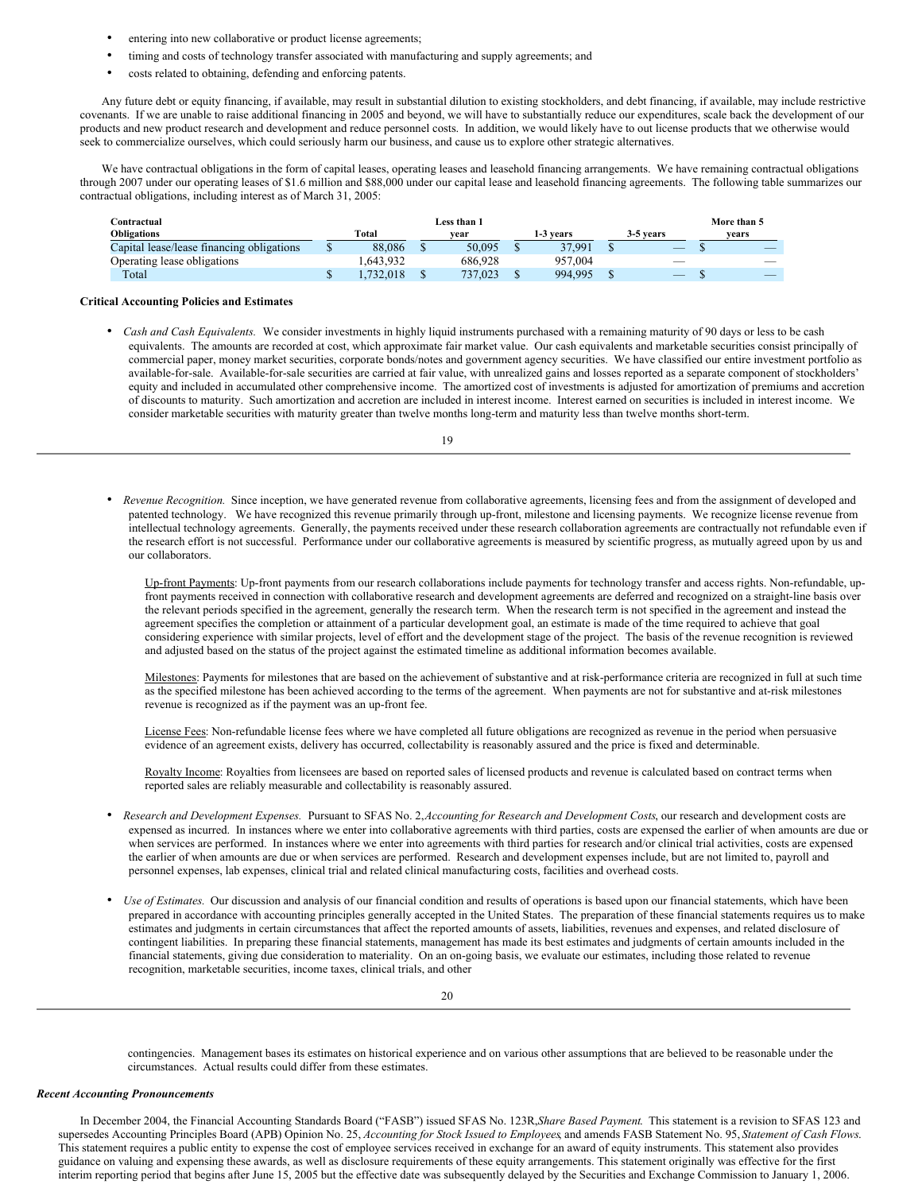- entering into new collaborative or product license agreements;
- timing and costs of technology transfer associated with manufacturing and supply agreements; and
- costs related to obtaining, defending and enforcing patents.

Any future debt or equity financing, if available, may result in substantial dilution to existing stockholders, and debt financing, if available, may include restrictive covenants. If we are unable to raise additional financing in 2005 and beyond, we will have to substantially reduce our expenditures, scale back the development of our products and new product research and development and reduce personnel costs. In addition, we would likely have to out license products that we otherwise would seek to commercialize ourselves, which could seriously harm our business, and cause us to explore other strategic alternatives.

We have contractual obligations in the form of capital leases, operating leases and leasehold financing arrangements. We have remaining contractual obligations through 2007 under our operating leases of \$1.6 million and \$88,000 under our capital lease and leasehold financing agreements. The following table summarizes our contractual obligations, including interest as of March 31, 2005:

| Contractual                               |          | Less than 1 |           |           | More than 5 |
|-------------------------------------------|----------|-------------|-----------|-----------|-------------|
| Obligations                               | Total    | vear        | 1-3 years | 3-5 years | vears       |
| Capital lease/lease financing obligations | 88,086   | 50.095      | 37.991    | _         |             |
| Operating lease obligations               | .643.932 | 686.928     | 957,004   |           |             |
| Total                                     | .732.018 | 737,023     | 994.995   | _         |             |

#### **Critical Accounting Policies and Estimates**

• *Cash and Cash Equivalents.* We consider investments in highly liquid instruments purchased with a remaining maturity of 90 days or less to be cash equivalents. The amounts are recorded at cost, which approximate fair market value. Our cash equivalents and marketable securities consist principally of commercial paper, money market securities, corporate bonds/notes and government agency securities. We have classified our entire investment portfolio as available-for-sale. Available-for-sale securities are carried at fair value, with unrealized gains and losses reported as a separate component of stockholders' equity and included in accumulated other comprehensive income. The amortized cost of investments is adjusted for amortization of premiums and accretion of discounts to maturity. Such amortization and accretion are included in interest income. Interest earned on securities is included in interest income. We consider marketable securities with maturity greater than twelve months long-term and maturity less than twelve months short-term.

| ۰.<br>۰.<br>۰,<br>٧ |
|---------------------|

• *Revenue Recognition.* Since inception, we have generated revenue from collaborative agreements, licensing fees and from the assignment of developed and patented technology. We have recognized this revenue primarily through up-front, milestone and licensing payments. We recognize license revenue from intellectual technology agreements. Generally, the payments received under these research collaboration agreements are contractually not refundable even if the research effort is not successful. Performance under our collaborative agreements is measured by scientific progress, as mutually agreed upon by us and our collaborators.

Up-front Payments: Up-front payments from our research collaborations include payments for technology transfer and access rights. Non-refundable, upfront payments received in connection with collaborative research and development agreements are deferred and recognized on a straight-line basis over the relevant periods specified in the agreement, generally the research term. When the research term is not specified in the agreement and instead the agreement specifies the completion or attainment of a particular development goal, an estimate is made of the time required to achieve that goal considering experience with similar projects, level of effort and the development stage of the project. The basis of the revenue recognition is reviewed and adjusted based on the status of the project against the estimated timeline as additional information becomes available.

Milestones: Payments for milestones that are based on the achievement of substantive and at risk-performance criteria are recognized in full at such time as the specified milestone has been achieved according to the terms of the agreement. When payments are not for substantive and at-risk milestones revenue is recognized as if the payment was an up-front fee.

License Fees: Non-refundable license fees where we have completed all future obligations are recognized as revenue in the period when persuasive evidence of an agreement exists, delivery has occurred, collectability is reasonably assured and the price is fixed and determinable.

Royalty Income: Royalties from licensees are based on reported sales of licensed products and revenue is calculated based on contract terms when reported sales are reliably measurable and collectability is reasonably assured.

- *Research and Development Expenses.* Pursuant to SFAS No. 2,*Accounting for Research and Development Costs*, our research and development costs are expensed as incurred. In instances where we enter into collaborative agreements with third parties, costs are expensed the earlier of when amounts are due or when services are performed. In instances where we enter into agreements with third parties for research and/or clinical trial activities, costs are expensed the earlier of when amounts are due or when services are performed. Research and development expenses include, but are not limited to, payroll and personnel expenses, lab expenses, clinical trial and related clinical manufacturing costs, facilities and overhead costs.
- *Use of Estimates*. Our discussion and analysis of our financial condition and results of operations is based upon our financial statements, which have been prepared in accordance with accounting principles generally accepted in the United States. The preparation of these financial statements requires us to make estimates and judgments in certain circumstances that affect the reported amounts of assets, liabilities, revenues and expenses, and related disclosure of contingent liabilities. In preparing these financial statements, management has made its best estimates and judgments of certain amounts included in the financial statements, giving due consideration to materiality. On an on-going basis, we evaluate our estimates, including those related to revenue recognition, marketable securities, income taxes, clinical trials, and other

contingencies. Management bases its estimates on historical experience and on various other assumptions that are believed to be reasonable under the circumstances. Actual results could differ from these estimates.

## *Recent Accounting Pronouncements*

In December 2004, the Financial Accounting Standards Board ("FASB") issued SFAS No. 123R,*Share Based Payment*. This statement is a revision to SFAS 123 and supersedes Accounting Principles Board (APB) Opinion No. 25, Accounting for Stock Issued to Employees, and amends FASB Statement No. 95, Statement of Cash Flows. This statement requires a public entity to expense the cost of employee services received in exchange for an award of equity instruments. This statement also provides guidance on valuing and expensing these awards, as well as disclosure requirements of these equity arrangements. This statement originally was effective for the first interim reporting period that begins after June 15, 2005 but the effective date was subsequently delayed by the Securities and Exchange Commission to January 1, 2006.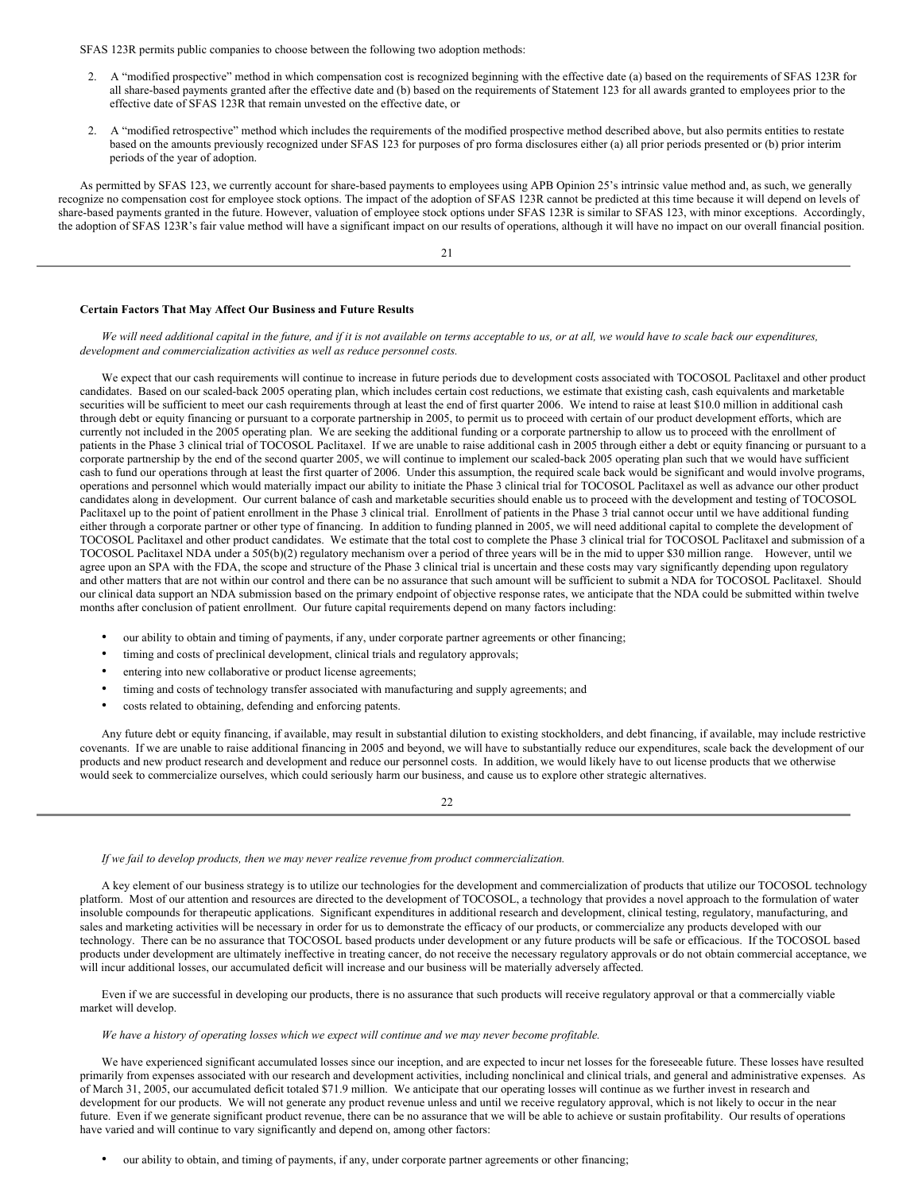SFAS 123R permits public companies to choose between the following two adoption methods:

- 2. A "modified prospective" method in which compensation cost is recognized beginning with the effective date (a) based on the requirements of SFAS 123R for all share-based payments granted after the effective date and (b) based on the requirements of Statement 123 for all awards granted to employees prior to the effective date of SFAS 123R that remain unvested on the effective date, or
- 2. A "modified retrospective" method which includes the requirements of the modified prospective method described above, but also permits entities to restate based on the amounts previously recognized under SFAS 123 for purposes of pro forma disclosures either (a) all prior periods presented or (b) prior interim periods of the year of adoption.

As permitted by SFAS 123, we currently account for share-based payments to employees using APB Opinion 25's intrinsic value method and, as such, we generally recognize no compensation cost for employee stock options. The impact of the adoption of SFAS 123R cannot be predicted at this time because it will depend on levels of share-based payments granted in the future. However, valuation of employee stock options under SFAS 123R is similar to SFAS 123, with minor exceptions. Accordingly, the adoption of SFAS 123R's fair value method will have a significant impact on our results of operations, although it will have no impact on our overall financial position.

21

#### **Certain Factors That May Affect Our Business and Future Results**

We will need additional capital in the future, and if it is not available on terms acceptable to us, or at all, we would have to scale back our expenditures, *development and commercialization activities as well as reduce personnel costs.*

We expect that our cash requirements will continue to increase in future periods due to development costs associated with TOCOSOL Paclitaxel and other product candidates. Based on our scaled-back 2005 operating plan, which includes certain cost reductions, we estimate that existing cash, cash equivalents and marketable securities will be sufficient to meet our cash requirements through at least the end of first quarter 2006. We intend to raise at least \$10.0 million in additional cash through debt or equity financing or pursuant to a corporate partnership in 2005, to permit us to proceed with certain of our product development efforts, which are currently not included in the 2005 operating plan. We are seeking the additional funding or a corporate partnership to allow us to proceed with the enrollment of patients in the Phase 3 clinical trial of TOCOSOL Paclitaxel. If we are unable to raise additional cash in 2005 through either a debt or equity financing or pursuant to a corporate partnership by the end of the second quarter 2005, we will continue to implement our scaled-back 2005 operating plan such that we would have sufficient cash to fund our operations through at least the first quarter of 2006. Under this assumption, the required scale back would be significant and would involve programs, operations and personnel which would materially impact our ability to initiate the Phase 3 clinical trial for TOCOSOL Paclitaxel as well as advance our other product candidates along in development. Our current balance of cash and marketable securities should enable us to proceed with the development and testing of TOCOSOL Paclitaxel up to the point of patient enrollment in the Phase 3 clinical trial. Enrollment of patients in the Phase 3 trial cannot occur until we have additional funding either through a corporate partner or other type of financing. In addition to funding planned in 2005, we will need additional capital to complete the development of TOCOSOL Paclitaxel and other product candidates. We estimate that the total cost to complete the Phase 3 clinical trial for TOCOSOL Paclitaxel and submission of a TOCOSOL Paclitaxel NDA under a 505(b)(2) regulatory mechanism over a period of three years will be in the mid to upper \$30 million range. However, until we agree upon an SPA with the FDA, the scope and structure of the Phase 3 clinical trial is uncertain and these costs may vary significantly depending upon regulatory and other matters that are not within our control and there can be no assurance that such amount will be sufficient to submit a NDA for TOCOSOL Paclitaxel. Should our clinical data support an NDA submission based on the primary endpoint of objective response rates, we anticipate that the NDA could be submitted within twelve months after conclusion of patient enrollment. Our future capital requirements depend on many factors including:

- our ability to obtain and timing of payments, if any, under corporate partner agreements or other financing;
- timing and costs of preclinical development, clinical trials and regulatory approvals;
- entering into new collaborative or product license agreements;
- timing and costs of technology transfer associated with manufacturing and supply agreements; and
- costs related to obtaining, defending and enforcing patents.

Any future debt or equity financing, if available, may result in substantial dilution to existing stockholders, and debt financing, if available, may include restrictive covenants. If we are unable to raise additional financing in 2005 and beyond, we will have to substantially reduce our expenditures, scale back the development of our products and new product research and development and reduce our personnel costs. In addition, we would likely have to out license products that we otherwise would seek to commercialize ourselves, which could seriously harm our business, and cause us to explore other strategic alternatives.

22

#### *If we fail to develop products, then we may never realize revenue from product commercialization.*

A key element of our business strategy is to utilize our technologies for the development and commercialization of products that utilize our TOCOSOL technology platform. Most of our attention and resources are directed to the development of TOCOSOL, a technology that provides a novel approach to the formulation of water insoluble compounds for therapeutic applications. Significant expenditures in additional research and development, clinical testing, regulatory, manufacturing, and sales and marketing activities will be necessary in order for us to demonstrate the efficacy of our products, or commercialize any products developed with our technology. There can be no assurance that TOCOSOL based products under development or any future products will be safe or efficacious. If the TOCOSOL based products under development are ultimately ineffective in treating cancer, do not receive the necessary regulatory approvals or do not obtain commercial acceptance, we will incur additional losses, our accumulated deficit will increase and our business will be materially adversely affected.

Even if we are successful in developing our products, there is no assurance that such products will receive regulatory approval or that a commercially viable market will develop.

#### We have a history of operating losses which we expect will continue and we may never become profitable.

We have experienced significant accumulated losses since our inception, and are expected to incur net losses for the foreseeable future. These losses have resulted primarily from expenses associated with our research and development activities, including nonclinical and clinical trials, and general and administrative expenses. As of March 31, 2005, our accumulated deficit totaled \$71.9 million. We anticipate that our operating losses will continue as we further invest in research and development for our products. We will not generate any product revenue unless and until we receive regulatory approval, which is not likely to occur in the near future. Even if we generate significant product revenue, there can be no assurance that we will be able to achieve or sustain profitability. Our results of operations have varied and will continue to vary significantly and depend on, among other factors:

• our ability to obtain, and timing of payments, if any, under corporate partner agreements or other financing;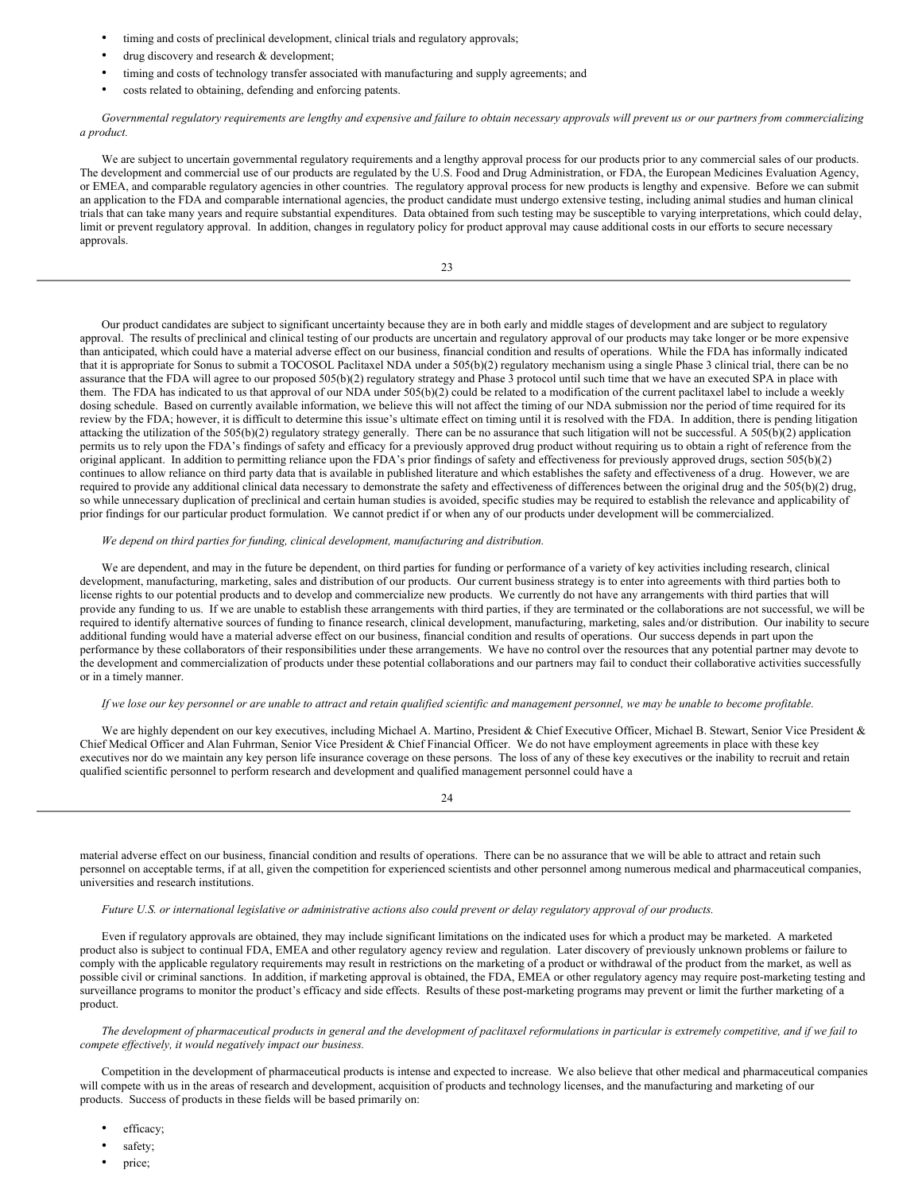- timing and costs of preclinical development, clinical trials and regulatory approvals;
- drug discovery and research & development;
- timing and costs of technology transfer associated with manufacturing and supply agreements; and
- costs related to obtaining, defending and enforcing patents.

Governmental regulatory requirements are lengthy and expensive and failure to obtain necessary approvals will prevent us or our partners from commercializing *a product.*

We are subject to uncertain governmental regulatory requirements and a lengthy approval process for our products prior to any commercial sales of our products. The development and commercial use of our products are regulated by the U.S. Food and Drug Administration, or FDA, the European Medicines Evaluation Agency, or EMEA, and comparable regulatory agencies in other countries. The regulatory approval process for new products is lengthy and expensive. Before we can submit an application to the FDA and comparable international agencies, the product candidate must undergo extensive testing, including animal studies and human clinical trials that can take many years and require substantial expenditures. Data obtained from such testing may be susceptible to varying interpretations, which could delay, limit or prevent regulatory approval. In addition, changes in regulatory policy for product approval may cause additional costs in our efforts to secure necessary approvals.

 $23$ 

Our product candidates are subject to significant uncertainty because they are in both early and middle stages of development and are subject to regulatory approval. The results of preclinical and clinical testing of our products are uncertain and regulatory approval of our products may take longer or be more expensive than anticipated, which could have a material adverse effect on our business, financial condition and results of operations. While the FDA has informally indicated that it is appropriate for Sonus to submit a TOCOSOL Paclitaxel NDA under a 505(b)(2) regulatory mechanism using a single Phase 3 clinical trial, there can be no assurance that the FDA will agree to our proposed 505(b)(2) regulatory strategy and Phase 3 protocol until such time that we have an executed SPA in place with them. The FDA has indicated to us that approval of our NDA under 505(b)(2) could be related to a modification of the current paclitaxel label to include a weekly dosing schedule. Based on currently available information, we believe this will not affect the timing of our NDA submission nor the period of time required for its review by the FDA; however, it is difficult to determine this issue's ultimate effect on timing until it is resolved with the FDA. In addition, there is pending litigation attacking the utilization of the 505(b)(2) regulatory strategy generally. There can be no assurance that such litigation will not be successful. A 505(b)(2) application permits us to rely upon the FDA's findings of safety and efficacy for a previously approved drug product without requiring us to obtain a right of reference from the original applicant. In addition to permitting reliance upon the FDA's prior findings of safety and effectiveness for previously approved drugs, section 505(b)(2) continues to allow reliance on third party data that is available in published literature and which establishes the safety and effectiveness of a drug. However, we are required to provide any additional clinical data necessary to demonstrate the safety and effectiveness of differences between the original drug and the 505(b)(2) drug, so while unnecessary duplication of preclinical and certain human studies is avoided, specific studies may be required to establish the relevance and applicability of prior findings for our particular product formulation. We cannot predict if or when any of our products under development will be commercialized.

#### *We depend on third parties for funding, clinical development, manufacturing and distribution.*

We are dependent, and may in the future be dependent, on third parties for funding or performance of a variety of key activities including research, clinical development, manufacturing, marketing, sales and distribution of our products. Our current business strategy is to enter into agreements with third parties both to license rights to our potential products and to develop and commercialize new products. We currently do not have any arrangements with third parties that will provide any funding to us. If we are unable to establish these arrangements with third parties, if they are terminated or the collaborations are not successful, we will be required to identify alternative sources of funding to finance research, clinical development, manufacturing, marketing, sales and/or distribution. Our inability to secure additional funding would have a material adverse effect on our business, financial condition and results of operations. Our success depends in part upon the performance by these collaborators of their responsibilities under these arrangements. We have no control over the resources that any potential partner may devote to the development and commercialization of products under these potential collaborations and our partners may fail to conduct their collaborative activities successfully or in a timely manner.

## If we lose our key personnel or are unable to attract and retain qualified scientific and management personnel, we may be unable to become profitable.

We are highly dependent on our key executives, including Michael A. Martino, President & Chief Executive Officer, Michael B. Stewart, Senior Vice President & Chief Medical Officer and Alan Fuhrman, Senior Vice President & Chief Financial Officer. We do not have employment agreements in place with these key executives nor do we maintain any key person life insurance coverage on these persons. The loss of any of these key executives or the inability to recruit and retain qualified scientific personnel to perform research and development and qualified management personnel could have a

24

material adverse effect on our business, financial condition and results of operations. There can be no assurance that we will be able to attract and retain such personnel on acceptable terms, if at all, given the competition for experienced scientists and other personnel among numerous medical and pharmaceutical companies, universities and research institutions.

# Future U.S. or international legislative or administrative actions also could prevent or delay regulatory approval of our products.

Even if regulatory approvals are obtained, they may include significant limitations on the indicated uses for which a product may be marketed. A marketed product also is subject to continual FDA, EMEA and other regulatory agency review and regulation. Later discovery of previously unknown problems or failure to comply with the applicable regulatory requirements may result in restrictions on the marketing of a product or withdrawal of the product from the market, as well as possible civil or criminal sanctions. In addition, if marketing approval is obtained, the FDA, EMEA or other regulatory agency may require post-marketing testing and surveillance programs to monitor the product's efficacy and side effects. Results of these post-marketing programs may prevent or limit the further marketing of a product.

The development of pharmaceutical products in general and the development of paclitaxel reformulations in particular is extremely competitive, and if we fail to *compete ef ectively, it would negatively impact our business.*

Competition in the development of pharmaceutical products is intense and expected to increase. We also believe that other medical and pharmaceutical companies will compete with us in the areas of research and development, acquisition of products and technology licenses, and the manufacturing and marketing of our products. Success of products in these fields will be based primarily on:

- efficacy;
- safety;
- price;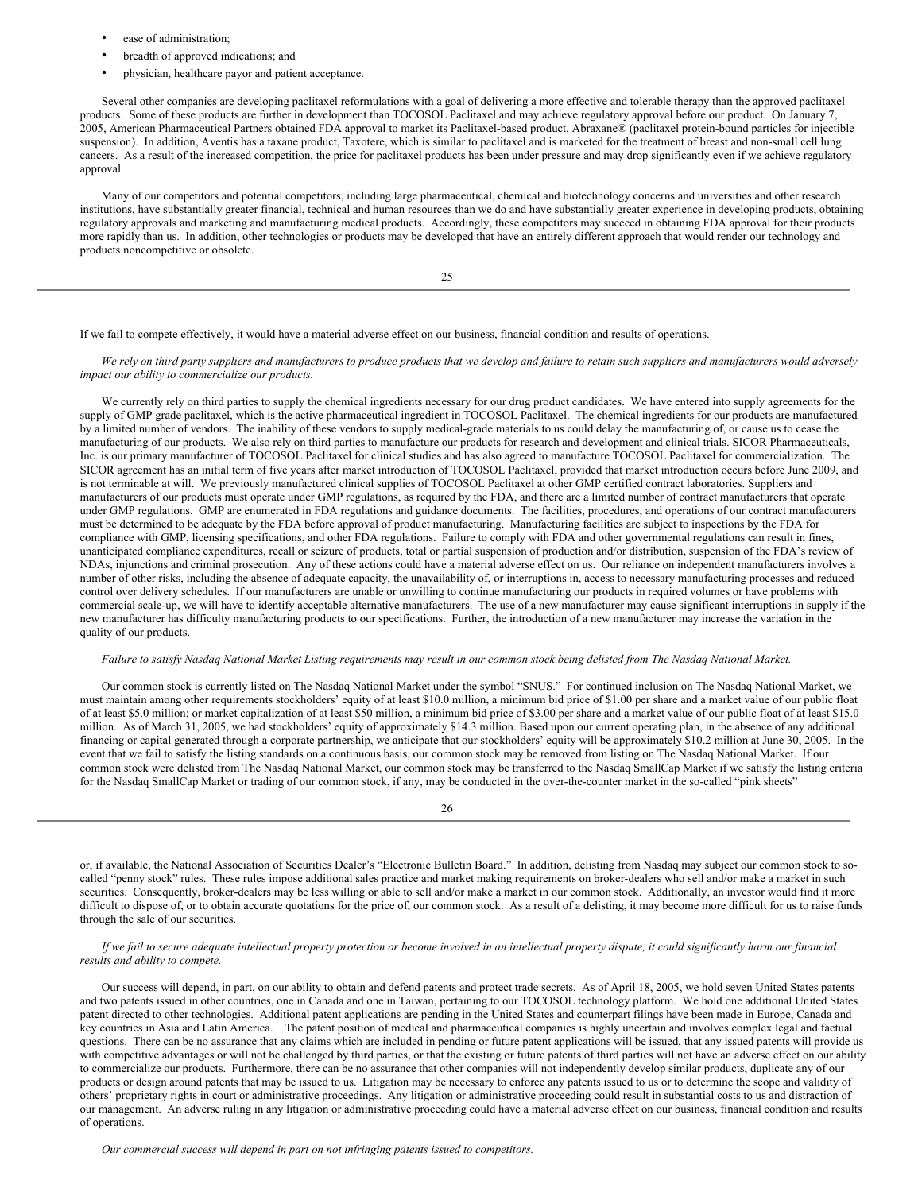- ease of administration;
- breadth of approved indications; and
- physician, healthcare payor and patient acceptance.

Several other companies are developing paclitaxel reformulations with a goal of delivering a more effective and tolerable therapy than the approved paclitaxel products. Some of these products are further in development than TOCOSOL Paclitaxel and may achieve regulatory approval before our product. On January 7, 2005, American Pharmaceutical Partners obtained FDA approval to market its Paclitaxel-based product, Abraxane® (paclitaxel protein-bound particles for injectible suspension). In addition, Aventis has a taxane product, Taxotere, which is similar to paclitaxel and is marketed for the treatment of breast and non-small cell lung cancers. As a result of the increased competition, the price for paclitaxel products has been under pressure and may drop significantly even if we achieve regulatory approval.

Many of our competitors and potential competitors, including large pharmaceutical, chemical and biotechnology concerns and universities and other research institutions, have substantially greater financial, technical and human resources than we do and have substantially greater experience in developing products, obtaining regulatory approvals and marketing and manufacturing medical products. Accordingly, these competitors may succeed in obtaining FDA approval for their products more rapidly than us. In addition, other technologies or products may be developed that have an entirely different approach that would render our technology and products noncompetitive or obsolete.

| I | ۰.<br>v<br>× |
|---|--------------|

If we fail to compete effectively, it would have a material adverse effect on our business, financial condition and results of operations.

We rely on third party suppliers and manufacturers to produce products that we develop and failure to retain such suppliers and manufacturers would adversely *impact our ability to commercialize our products.*

We currently rely on third parties to supply the chemical ingredients necessary for our drug product candidates. We have entered into supply agreements for the supply of GMP grade paclitaxel, which is the active pharmaceutical ingredient in TOCOSOL Paclitaxel. The chemical ingredients for our products are manufactured by a limited number of vendors. The inability of these vendors to supply medical-grade materials to us could delay the manufacturing of, or cause us to cease the manufacturing of our products. We also rely on third parties to manufacture our products for research and development and clinical trials. SICOR Pharmaceuticals, Inc. is our primary manufacturer of TOCOSOL Paclitaxel for clinical studies and has also agreed to manufacture TOCOSOL Paclitaxel for commercialization. The SICOR agreement has an initial term of five years after market introduction of TOCOSOL Paclitaxel, provided that market introduction occurs before June 2009, and is not terminable at will. We previously manufactured clinical supplies of TOCOSOL Paclitaxel at other GMP certified contract laboratories. Suppliers and manufacturers of our products must operate under GMP regulations, as required by the FDA, and there are a limited number of contract manufacturers that operate under GMP regulations. GMP are enumerated in FDA regulations and guidance documents. The facilities, procedures, and operations of our contract manufacturers must be determined to be adequate by the FDA before approval of product manufacturing. Manufacturing facilities are subject to inspections by the FDA for compliance with GMP, licensing specifications, and other FDA regulations. Failure to comply with FDA and other governmental regulations can result in fines, unanticipated compliance expenditures, recall or seizure of products, total or partial suspension of production and/or distribution, suspension of the FDA's review of NDAs, injunctions and criminal prosecution. Any of these actions could have a material adverse effect on us. Our reliance on independent manufacturers involves a number of other risks, including the absence of adequate capacity, the unavailability of, or interruptions in, access to necessary manufacturing processes and reduced control over delivery schedules. If our manufacturers are unable or unwilling to continue manufacturing our products in required volumes or have problems with commercial scale-up, we will have to identify acceptable alternative manufacturers. The use of a new manufacturer may cause significant interruptions in supply if the new manufacturer has difficulty manufacturing products to our specifications. Further, the introduction of a new manufacturer may increase the variation in the quality of our products.

## Failure to satisfy Nasdaq National Market Listing requirements may result in our common stock being delisted from The Nasdaq National Market.

Our common stock is currently listed on The Nasdaq National Market under the symbol "SNUS." For continued inclusion on The Nasdaq National Market, we must maintain among other requirements stockholders' equity of at least \$10.0 million, a minimum bid price of \$1.00 per share and a market value of our public float of at least \$5.0 million; or market capitalization of at least \$50 million, a minimum bid price of \$3.00 per share and a market value of our public float of at least \$15.0 million. As of March 31, 2005, we had stockholders' equity of approximately \$14.3 million. Based upon our current operating plan, in the absence of any additional financing or capital generated through a corporate partnership, we anticipate that our stockholders' equity will be approximately \$10.2 million at June 30, 2005. In the event that we fail to satisfy the listing standards on a continuous basis, our common stock may be removed from listing on The Nasdaq National Market. If our common stock were delisted from The Nasdaq National Market, our common stock may be transferred to the Nasdaq SmallCap Market if we satisfy the listing criteria for the Nasdaq SmallCap Market or trading of our common stock, if any, may be conducted in the over-the-counter market in the so-called "pink sheets"

26

or, if available, the National Association of Securities Dealer's "Electronic Bulletin Board." In addition, delisting from Nasdaq may subject our common stock to socalled "penny stock" rules. These rules impose additional sales practice and market making requirements on broker-dealers who sell and/or make a market in such securities. Consequently, broker-dealers may be less willing or able to sell and/or make a market in our common stock. Additionally, an investor would find it more difficult to dispose of, or to obtain accurate quotations for the price of, our common stock. As a result of a delisting, it may become more difficult for us to raise funds through the sale of our securities.

## If we fail to secure adequate intellectual property protection or become involved in an intellectual property dispute, it could significantly harm our financial *results and ability to compete.*

Our success will depend, in part, on our ability to obtain and defend patents and protect trade secrets. As of April 18, 2005, we hold seven United States patents and two patents issued in other countries, one in Canada and one in Taiwan, pertaining to our TOCOSOL technology platform. We hold one additional United States patent directed to other technologies. Additional patent applications are pending in the United States and counterpart filings have been made in Europe, Canada and key countries in Asia and Latin America. The patent position of medical and pharmaceutical companies is highly uncertain and involves complex legal and factual questions. There can be no assurance that any claims which are included in pending or future patent applications will be issued, that any issued patents will provide us with competitive advantages or will not be challenged by third parties, or that the existing or future patents of third parties will not have an adverse effect on our ability to commercialize our products. Furthermore, there can be no assurance that other companies will not independently develop similar products, duplicate any of our products or design around patents that may be issued to us. Litigation may be necessary to enforce any patents issued to us or to determine the scope and validity of others' proprietary rights in court or administrative proceedings. Any litigation or administrative proceeding could result in substantial costs to us and distraction of our management. An adverse ruling in any litigation or administrative proceeding could have a material adverse effect on our business, financial condition and results of operations.

*Our commercial success will depend in part on not infringing patents issued to competitors.*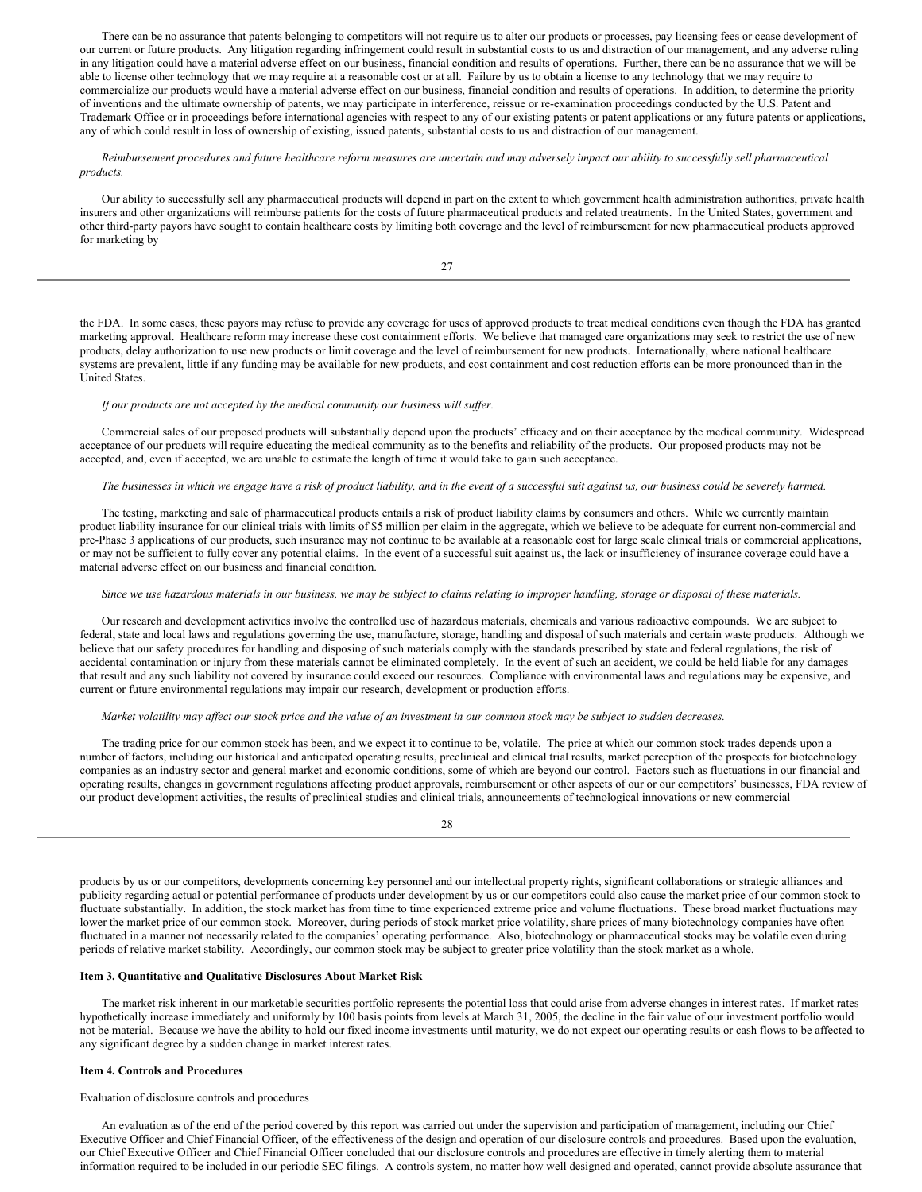There can be no assurance that patents belonging to competitors will not require us to alter our products or processes, pay licensing fees or cease development of our current or future products. Any litigation regarding infringement could result in substantial costs to us and distraction of our management, and any adverse ruling in any litigation could have a material adverse effect on our business, financial condition and results of operations. Further, there can be no assurance that we will be able to license other technology that we may require at a reasonable cost or at all. Failure by us to obtain a license to any technology that we may require to commercialize our products would have a material adverse effect on our business, financial condition and results of operations. In addition, to determine the priority of inventions and the ultimate ownership of patents, we may participate in interference, reissue or re-examination proceedings conducted by the U.S. Patent and Trademark Office or in proceedings before international agencies with respect to any of our existing patents or patent applications or any future patents or applications, any of which could result in loss of ownership of existing, issued patents, substantial costs to us and distraction of our management.

Reimbursement procedures and future healthcare reform measures are uncertain and may adversely impact our ability to successfully sell pharmaceutical *products.*

Our ability to successfully sell any pharmaceutical products will depend in part on the extent to which government health administration authorities, private health insurers and other organizations will reimburse patients for the costs of future pharmaceutical products and related treatments. In the United States, government and other third-party payors have sought to contain healthcare costs by limiting both coverage and the level of reimbursement for new pharmaceutical products approved for marketing by

27

the FDA. In some cases, these payors may refuse to provide any coverage for uses of approved products to treat medical conditions even though the FDA has granted marketing approval. Healthcare reform may increase these cost containment efforts. We believe that managed care organizations may seek to restrict the use of new products, delay authorization to use new products or limit coverage and the level of reimbursement for new products. Internationally, where national healthcare systems are prevalent, little if any funding may be available for new products, and cost containment and cost reduction efforts can be more pronounced than in the United States.

## *If our products are not accepted by the medical community our business will suf er.*

Commercial sales of our proposed products will substantially depend upon the products' efficacy and on their acceptance by the medical community. Widespread acceptance of our products will require educating the medical community as to the benefits and reliability of the products. Our proposed products may not be accepted, and, even if accepted, we are unable to estimate the length of time it would take to gain such acceptance.

## The businesses in which we engage have a risk of product liability, and in the event of a successful suit against us, our business could be severely harmed.

The testing, marketing and sale of pharmaceutical products entails a risk of product liability claims by consumers and others. While we currently maintain product liability insurance for our clinical trials with limits of \$5 million per claim in the aggregate, which we believe to be adequate for current non-commercial and pre-Phase 3 applications of our products, such insurance may not continue to be available at a reasonable cost for large scale clinical trials or commercial applications, or may not be sufficient to fully cover any potential claims. In the event of a successful suit against us, the lack or insufficiency of insurance coverage could have a material adverse effect on our business and financial condition.

#### Since we use hazardous materials in our business, we may be subject to claims relating to improper handling, storage or disposal of these materials.

Our research and development activities involve the controlled use of hazardous materials, chemicals and various radioactive compounds. We are subject to federal, state and local laws and regulations governing the use, manufacture, storage, handling and disposal of such materials and certain waste products. Although we believe that our safety procedures for handling and disposing of such materials comply with the standards prescribed by state and federal regulations, the risk of accidental contamination or injury from these materials cannot be eliminated completely. In the event of such an accident, we could be held liable for any damages that result and any such liability not covered by insurance could exceed our resources. Compliance with environmental laws and regulations may be expensive, and current or future environmental regulations may impair our research, development or production efforts.

#### Market volatility may affect our stock price and the value of an investment in our common stock may be subject to sudden decreases.

The trading price for our common stock has been, and we expect it to continue to be, volatile. The price at which our common stock trades depends upon a number of factors, including our historical and anticipated operating results, preclinical and clinical trial results, market perception of the prospects for biotechnology companies as an industry sector and general market and economic conditions, some of which are beyond our control. Factors such as fluctuations in our financial and operating results, changes in government regulations affecting product approvals, reimbursement or other aspects of our or our competitors' businesses, FDA review of our product development activities, the results of preclinical studies and clinical trials, announcements of technological innovations or new commercial

products by us or our competitors, developments concerning key personnel and our intellectual property rights, significant collaborations or strategic alliances and publicity regarding actual or potential performance of products under development by us or our competitors could also cause the market price of our common stock to fluctuate substantially. In addition, the stock market has from time to time experienced extreme price and volume fluctuations. These broad market fluctuations may lower the market price of our common stock. Moreover, during periods of stock market price volatility, share prices of many biotechnology companies have often fluctuated in a manner not necessarily related to the companies' operating performance. Also, biotechnology or pharmaceutical stocks may be volatile even during periods of relative market stability. Accordingly, our common stock may be subject to greater price volatility than the stock market as a whole.

#### <span id="page-13-0"></span>**Item 3. Quantitative and Qualitative Disclosures About Market Risk**

The market risk inherent in our marketable securities portfolio represents the potential loss that could arise from adverse changes in interest rates. If market rates hypothetically increase immediately and uniformly by 100 basis points from levels at March 31, 2005, the decline in the fair value of our investment portfolio would not be material. Because we have the ability to hold our fixed income investments until maturity, we do not expect our operating results or cash flows to be affected to any significant degree by a sudden change in market interest rates.

#### <span id="page-13-1"></span>**Item 4. Controls and Procedures**

Evaluation of disclosure controls and procedures

An evaluation as of the end of the period covered by this report was carried out under the supervision and participation of management, including our Chief Executive Officer and Chief Financial Officer, of the effectiveness of the design and operation of our disclosure controls and procedures. Based upon the evaluation, our Chief Executive Officer and Chief Financial Officer concluded that our disclosure controls and procedures are effective in timely alerting them to material information required to be included in our periodic SEC filings. A controls system, no matter how well designed and operated, cannot provide absolute assurance that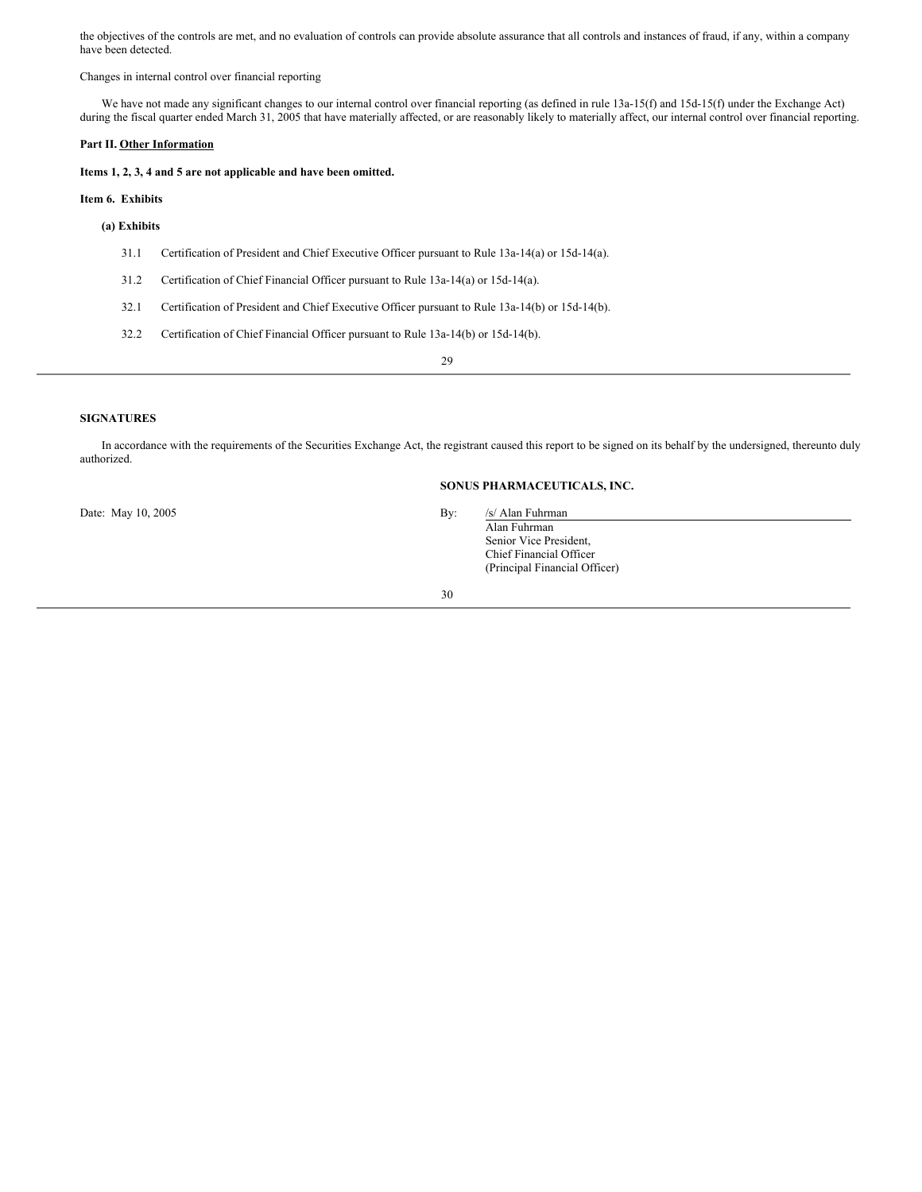the objectives of the controls are met, and no evaluation of controls can provide absolute assurance that all controls and instances of fraud, if any, within a company have been detected.

Changes in internal control over financial reporting

We have not made any significant changes to our internal control over financial reporting (as defined in rule 13a-15(f) and 15d-15(f) under the Exchange Act) during the fiscal quarter ended March 31, 2005 that have materially affected, or are reasonably likely to materially affect, our internal control over financial reporting.

### <span id="page-14-0"></span>**Part II. Other Information**

<span id="page-14-2"></span>**Items 1, 2, 3, 4 and 5 are not applicable and have been omitted.**

### <span id="page-14-1"></span>**Item 6. Exhibits**

## **(a) Exhibits**

- 31.1 Certification of President and Chief Executive Officer pursuant to Rule 13a-14(a) or 15d-14(a).
- 31.2 Certification of Chief Financial Officer pursuant to Rule 13a-14(a) or 15d-14(a).
- 32.1 Certification of President and Chief Executive Officer pursuant to Rule 13a-14(b) or 15d-14(b).
- 32.2 Certification of Chief Financial Officer pursuant to Rule 13a-14(b) or 15d-14(b).

29

## **SIGNATURES**

In accordance with the requirements of the Securities Exchange Act, the registrant caused this report to be signed on its behalf by the undersigned, thereunto duly authorized.

## **SONUS PHARMACEUTICALS, INC.**

Date: May 10, 2005 By: /s/ Alan Fuhrman

Alan Fuhrman Senior Vice President, Chief Financial Officer (Principal Financial Officer)

30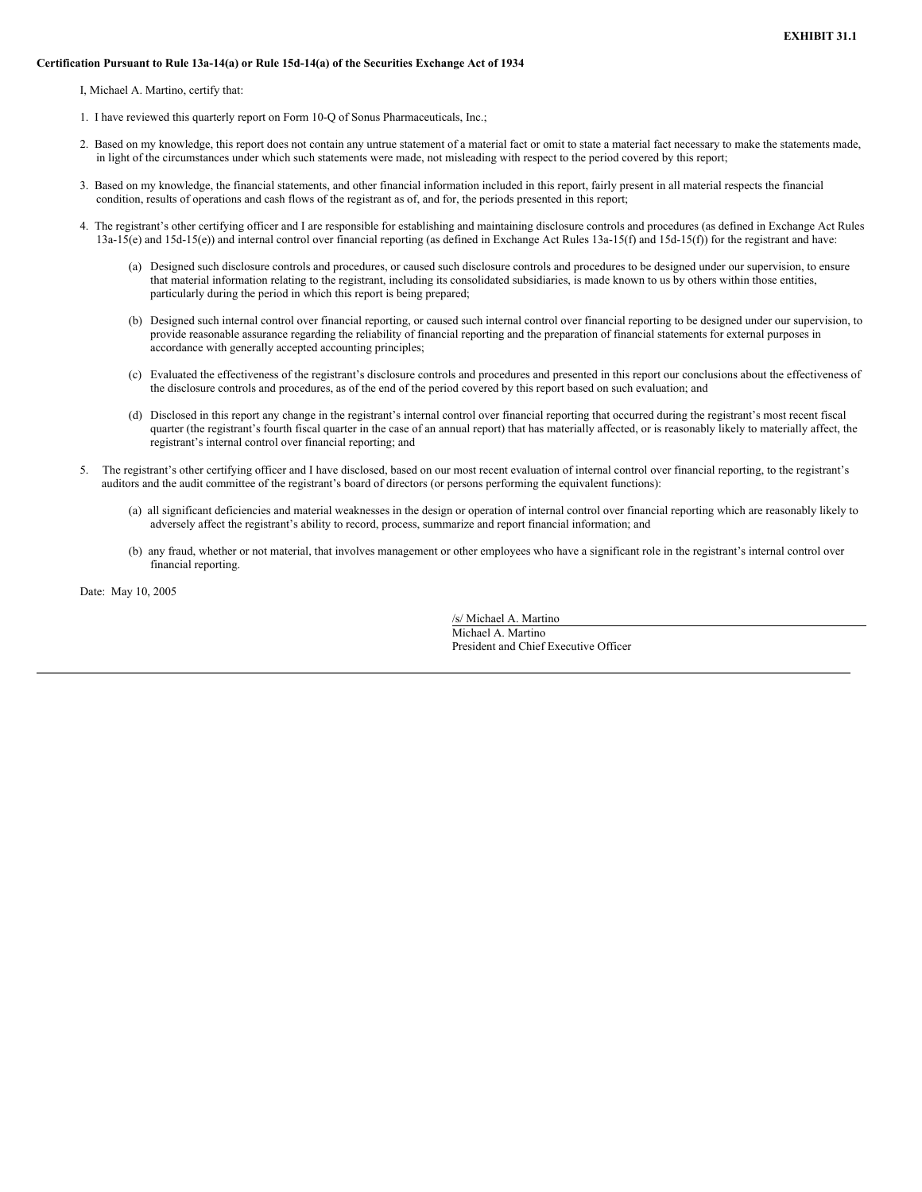## **Certification Pursuant to Rule 13a-14(a) or Rule 15d-14(a) of the Securities Exchange Act of 1934**

I, Michael A. Martino, certify that:

- 1. I have reviewed this quarterly report on Form 10-Q of Sonus Pharmaceuticals, Inc.;
- 2. Based on my knowledge, this report does not contain any untrue statement of a material fact or omit to state a material fact necessary to make the statements made, in light of the circumstances under which such statements were made, not misleading with respect to the period covered by this report;
- 3. Based on my knowledge, the financial statements, and other financial information included in this report, fairly present in all material respects the financial condition, results of operations and cash flows of the registrant as of, and for, the periods presented in this report;
- 4. The registrant's other certifying officer and I are responsible for establishing and maintaining disclosure controls and procedures (as defined in Exchange Act Rules 13a-15(e) and 15d-15(e)) and internal control over financial reporting (as defined in Exchange Act Rules 13a-15(f) and 15d-15(f)) for the registrant and have:
	- (a) Designed such disclosure controls and procedures, or caused such disclosure controls and procedures to be designed under our supervision, to ensure that material information relating to the registrant, including its consolidated subsidiaries, is made known to us by others within those entities, particularly during the period in which this report is being prepared;
	- (b) Designed such internal control over financial reporting, or caused such internal control over financial reporting to be designed under our supervision, to provide reasonable assurance regarding the reliability of financial reporting and the preparation of financial statements for external purposes in accordance with generally accepted accounting principles;
	- (c) Evaluated the effectiveness of the registrant's disclosure controls and procedures and presented in this report our conclusions about the effectiveness of the disclosure controls and procedures, as of the end of the period covered by this report based on such evaluation; and
	- (d) Disclosed in this report any change in the registrant's internal control over financial reporting that occurred during the registrant's most recent fiscal quarter (the registrant's fourth fiscal quarter in the case of an annual report) that has materially affected, or is reasonably likely to materially affect, the registrant's internal control over financial reporting; and
- 5. The registrant's other certifying officer and I have disclosed, based on our most recent evaluation of internal control over financial reporting, to the registrant's auditors and the audit committee of the registrant's board of directors (or persons performing the equivalent functions):
	- (a) all significant deficiencies and material weaknesses in the design or operation of internal control over financial reporting which are reasonably likely to adversely affect the registrant's ability to record, process, summarize and report financial information; and
	- (b) any fraud, whether or not material, that involves management or other employees who have a significant role in the registrant's internal control over financial reporting.

Date: May 10, 2005

/s/ Michael A. Martino Michael A. Martino President and Chief Executive Officer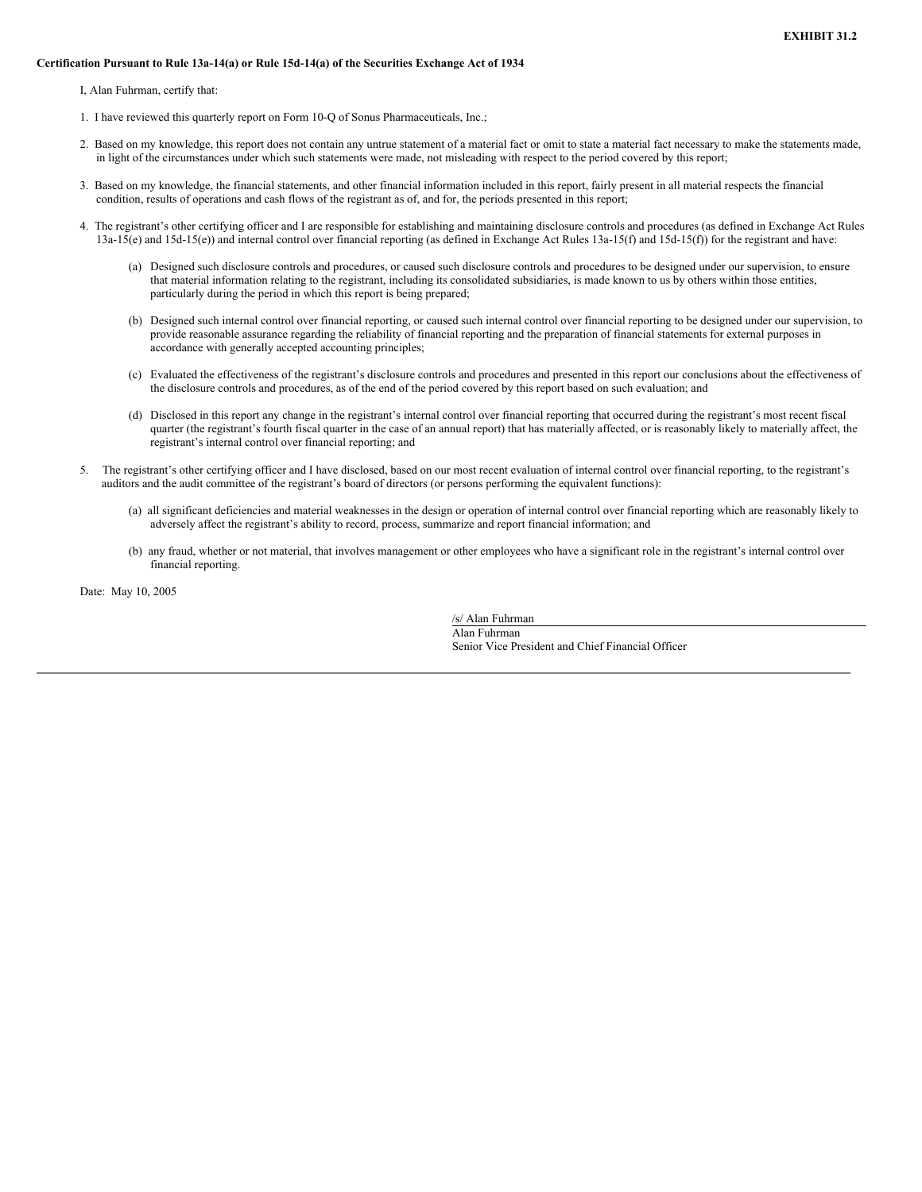### **Certification Pursuant to Rule 13a-14(a) or Rule 15d-14(a) of the Securities Exchange Act of 1934**

I, Alan Fuhrman, certify that:

- 1. I have reviewed this quarterly report on Form 10-Q of Sonus Pharmaceuticals, Inc.;
- 2. Based on my knowledge, this report does not contain any untrue statement of a material fact or omit to state a material fact necessary to make the statements made, in light of the circumstances under which such statements were made, not misleading with respect to the period covered by this report;
- 3. Based on my knowledge, the financial statements, and other financial information included in this report, fairly present in all material respects the financial condition, results of operations and cash flows of the registrant as of, and for, the periods presented in this report;
- 4. The registrant's other certifying officer and I are responsible for establishing and maintaining disclosure controls and procedures (as defined in Exchange Act Rules 13a-15(e) and 15d-15(e)) and internal control over financial reporting (as defined in Exchange Act Rules 13a-15(f) and 15d-15(f)) for the registrant and have:
	- (a) Designed such disclosure controls and procedures, or caused such disclosure controls and procedures to be designed under our supervision, to ensure that material information relating to the registrant, including its consolidated subsidiaries, is made known to us by others within those entities, particularly during the period in which this report is being prepared;
	- (b) Designed such internal control over financial reporting, or caused such internal control over financial reporting to be designed under our supervision, to provide reasonable assurance regarding the reliability of financial reporting and the preparation of financial statements for external purposes in accordance with generally accepted accounting principles;
	- (c) Evaluated the effectiveness of the registrant's disclosure controls and procedures and presented in this report our conclusions about the effectiveness of the disclosure controls and procedures, as of the end of the period covered by this report based on such evaluation; and
	- (d) Disclosed in this report any change in the registrant's internal control over financial reporting that occurred during the registrant's most recent fiscal quarter (the registrant's fourth fiscal quarter in the case of an annual report) that has materially affected, or is reasonably likely to materially affect, the registrant's internal control over financial reporting; and
- 5. The registrant's other certifying officer and I have disclosed, based on our most recent evaluation of internal control over financial reporting, to the registrant's auditors and the audit committee of the registrant's board of directors (or persons performing the equivalent functions):
	- (a) all significant deficiencies and material weaknesses in the design or operation of internal control over financial reporting which are reasonably likely to adversely affect the registrant's ability to record, process, summarize and report financial information; and
	- (b) any fraud, whether or not material, that involves management or other employees who have a significant role in the registrant's internal control over financial reporting.

Date: May 10, 2005

/s/ Alan Fuhrman Alan Fuhrman Senior Vice President and Chief Financial Officer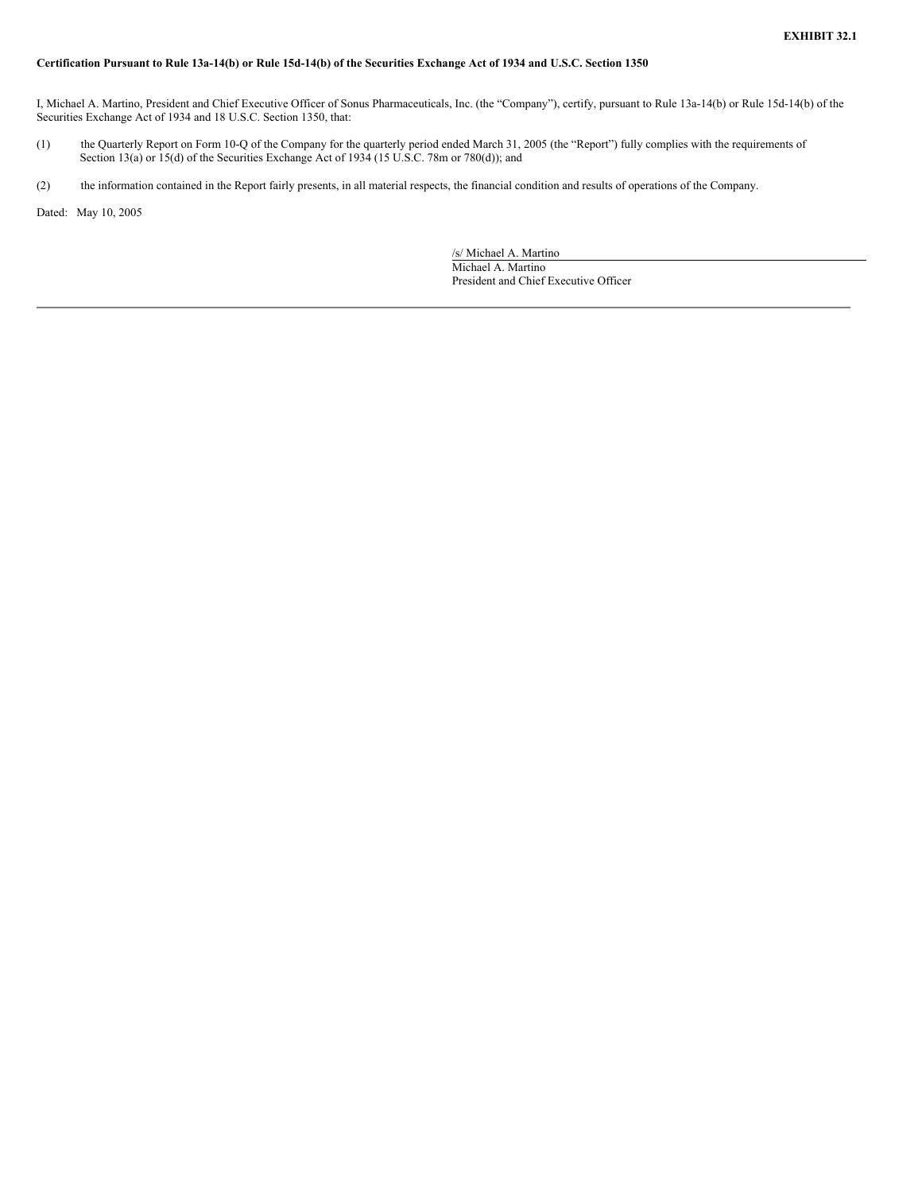## Certification Pursuant to Rule 13a-14(b) or Rule 15d-14(b) of the Securities Exchange Act of 1934 and U.S.C. Section 1350

I, Michael A. Martino, President and Chief Executive Officer of Sonus Pharmaceuticals, Inc. (the "Company"), certify, pursuant to Rule 13a-14(b) or Rule 15d-14(b) of the Securities Exchange Act of 1934 and 18 U.S.C. Section 1350, that:

- (1) the Quarterly Report on Form 10-Q of the Company for the quarterly period ended March 31, 2005 (the "Report") fully complies with the requirements of Section 13(a) or 15(d) of the Securities Exchange Act of 1934 (15 U.S.C. 78m or 780(d)); and
- (2) the information contained in the Report fairly presents, in all material respects, the financial condition and results of operations of the Company.

Dated: May 10, 2005

/s/ Michael A. Martino Michael A. Martino President and Chief Executive Officer